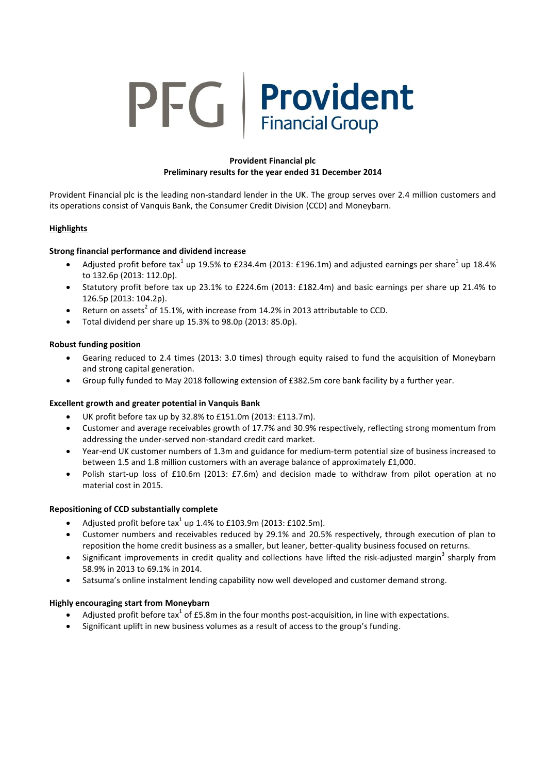# PFG Provident **Financial Group**

## **Provident Financial plc Preliminary results for the year ended 31 December 2014**

Provident Financial plc is the leading non-standard lender in the UK. The group serves over 2.4 million customers and its operations consist of Vanquis Bank, the Consumer Credit Division (CCD) and Moneybarn.

## **Highlights**

## **Strong financial performance and dividend increase**

- Adjusted profit before tax<sup>1</sup> up 19.5% to £234.4m (2013: £196.1m) and adjusted earnings per share<sup>1</sup> up 18.4% to 132.6p (2013: 112.0p).
- Statutory profit before tax up 23.1% to £224.6m (2013: £182.4m) and basic earnings per share up 21.4% to 126.5p (2013: 104.2p).
- Return on assets<sup>2</sup> of 15.1%, with increase from 14.2% in 2013 attributable to CCD.
- Total dividend per share up 15.3% to 98.0p (2013: 85.0p).

## **Robust funding position**

- Gearing reduced to 2.4 times (2013: 3.0 times) through equity raised to fund the acquisition of Moneybarn and strong capital generation.
- Group fully funded to May 2018 following extension of £382.5m core bank facility by a further year.

## **Excellent growth and greater potential in Vanquis Bank**

- UK profit before tax up by 32.8% to £151.0m (2013: £113.7m).
- Customer and average receivables growth of 17.7% and 30.9% respectively, reflecting strong momentum from addressing the under-served non-standard credit card market.
- Year-end UK customer numbers of 1.3m and guidance for medium-term potential size of business increased to between 1.5 and 1.8 million customers with an average balance of approximately £1,000.
- Polish start-up loss of £10.6m (2013: £7.6m) and decision made to withdraw from pilot operation at no material cost in 2015.

## **Repositioning of CCD substantially complete**

- Adjusted profit before tax<sup>1</sup> up 1.4% to £103.9m (2013: £102.5m).
- Customer numbers and receivables reduced by 29.1% and 20.5% respectively, through execution of plan to reposition the home credit business as a smaller, but leaner, better-quality business focused on returns.
- $\bullet$  Significant improvements in credit quality and collections have lifted the risk-adjusted margin<sup>3</sup> sharply from 58.9% in 2013 to 69.1% in 2014.
- Satsuma's online instalment lending capability now well developed and customer demand strong.

## **Highly encouraging start from Moneybarn**

- Adjusted profit before tax<sup>1</sup> of £5.8m in the four months post-acquisition, in line with expectations.
- Significant uplift in new business volumes as a result of access to the group's funding.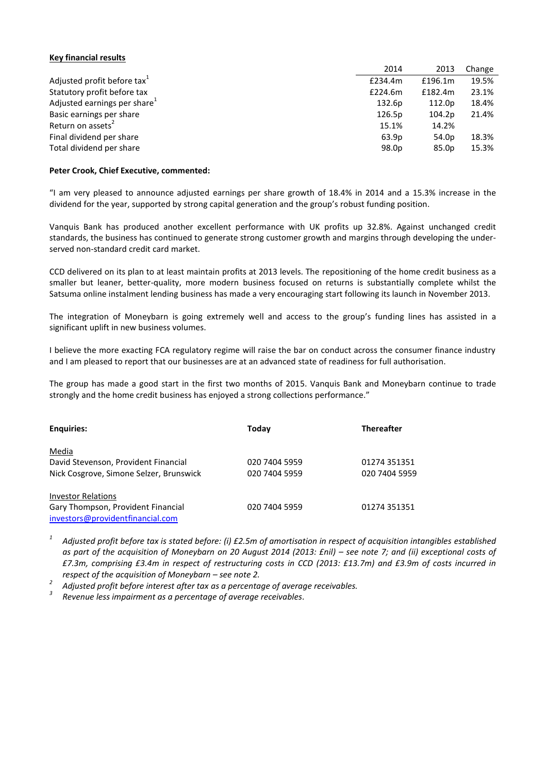#### **Key financial results**

|                                          | 2014    | 2013              | Change |
|------------------------------------------|---------|-------------------|--------|
| Adjusted profit before tax <sup>1</sup>  | £234.4m | £196.1m           | 19.5%  |
| Statutory profit before tax              | £224.6m | £182.4m           | 23.1%  |
| Adjusted earnings per share <sup>1</sup> | 132.6p  | 112.0p            | 18.4%  |
| Basic earnings per share                 | 126.5p  | 104.2p            | 21.4%  |
| Return on assets <sup>2</sup>            | 15.1%   | 14.2%             |        |
| Final dividend per share                 | 63.9p   | 54.0 <sub>p</sub> | 18.3%  |
| Total dividend per share                 | 98.0p   | 85.0p             | 15.3%  |

#### **Peter Crook, Chief Executive, commented:**

"I am very pleased to announce adjusted earnings per share growth of 18.4% in 2014 and a 15.3% increase in the dividend for the year, supported by strong capital generation and the group's robust funding position.

Vanquis Bank has produced another excellent performance with UK profits up 32.8%. Against unchanged credit standards, the business has continued to generate strong customer growth and margins through developing the underserved non-standard credit card market.

CCD delivered on its plan to at least maintain profits at 2013 levels. The repositioning of the home credit business as a smaller but leaner, better-quality, more modern business focused on returns is substantially complete whilst the Satsuma online instalment lending business has made a very encouraging start following its launch in November 2013.

The integration of Moneybarn is going extremely well and access to the group's funding lines has assisted in a significant uplift in new business volumes.

I believe the more exacting FCA regulatory regime will raise the bar on conduct across the consumer finance industry and I am pleased to report that our businesses are at an advanced state of readiness for full authorisation.

The group has made a good start in the first two months of 2015. Vanquis Bank and Moneybarn continue to trade strongly and the home credit business has enjoyed a strong collections performance."

| <b>Enquiries:</b>                       | Today         | <b>Thereafter</b> |
|-----------------------------------------|---------------|-------------------|
| Media                                   |               |                   |
| David Stevenson, Provident Financial    | 020 7404 5959 | 01274 351351      |
| Nick Cosgrove, Simone Selzer, Brunswick | 020 7404 5959 | 020 7404 5959     |
| <b>Investor Relations</b>               |               |                   |
| Gary Thompson, Provident Financial      | 020 7404 5959 | 01274 351351      |
| investors@providentfinancial.com        |               |                   |

*1 Adjusted profit before tax is stated before: (i) £2.5m of amortisation in respect of acquisition intangibles established as part of the acquisition of Moneybarn on 20 August 2014 (2013: £nil) – see note 7; and (ii) exceptional costs of £7.3m, comprising £3.4m in respect of restructuring costs in CCD (2013: £13.7m) and £3.9m of costs incurred in respect of the acquisition of Moneybarn – see note 2.*

*2 Adjusted profit before interest after tax as a percentage of average receivables.*

*3 Revenue less impairment as a percentage of average receivables.*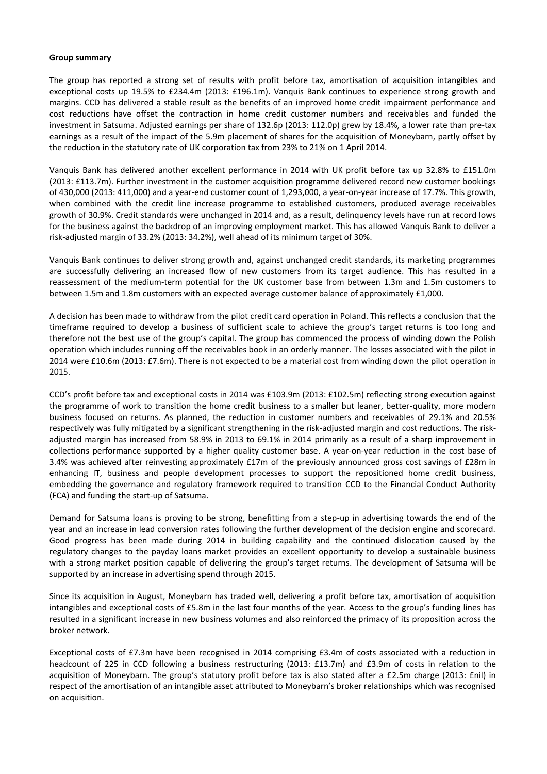#### **Group summary**

The group has reported a strong set of results with profit before tax, amortisation of acquisition intangibles and exceptional costs up 19.5% to £234.4m (2013: £196.1m). Vanquis Bank continues to experience strong growth and margins. CCD has delivered a stable result as the benefits of an improved home credit impairment performance and cost reductions have offset the contraction in home credit customer numbers and receivables and funded the investment in Satsuma. Adjusted earnings per share of 132.6p (2013: 112.0p) grew by 18.4%, a lower rate than pre-tax earnings as a result of the impact of the 5.9m placement of shares for the acquisition of Moneybarn, partly offset by the reduction in the statutory rate of UK corporation tax from 23% to 21% on 1 April 2014.

Vanquis Bank has delivered another excellent performance in 2014 with UK profit before tax up 32.8% to £151.0m (2013: £113.7m). Further investment in the customer acquisition programme delivered record new customer bookings of 430,000 (2013: 411,000) and a year-end customer count of 1,293,000, a year-on-year increase of 17.7%. This growth, when combined with the credit line increase programme to established customers, produced average receivables growth of 30.9%. Credit standards were unchanged in 2014 and, as a result, delinquency levels have run at record lows for the business against the backdrop of an improving employment market. This has allowed Vanquis Bank to deliver a risk-adjusted margin of 33.2% (2013: 34.2%), well ahead of its minimum target of 30%.

Vanquis Bank continues to deliver strong growth and, against unchanged credit standards, its marketing programmes are successfully delivering an increased flow of new customers from its target audience. This has resulted in a reassessment of the medium-term potential for the UK customer base from between 1.3m and 1.5m customers to between 1.5m and 1.8m customers with an expected average customer balance of approximately £1,000.

A decision has been made to withdraw from the pilot credit card operation in Poland. This reflects a conclusion that the timeframe required to develop a business of sufficient scale to achieve the group's target returns is too long and therefore not the best use of the group's capital. The group has commenced the process of winding down the Polish operation which includes running off the receivables book in an orderly manner. The losses associated with the pilot in 2014 were £10.6m (2013: £7.6m). There is not expected to be a material cost from winding down the pilot operation in 2015.

CCD's profit before tax and exceptional costs in 2014 was £103.9m (2013: £102.5m) reflecting strong execution against the programme of work to transition the home credit business to a smaller but leaner, better-quality, more modern business focused on returns. As planned, the reduction in customer numbers and receivables of 29.1% and 20.5% respectively was fully mitigated by a significant strengthening in the risk-adjusted margin and cost reductions. The riskadjusted margin has increased from 58.9% in 2013 to 69.1% in 2014 primarily as a result of a sharp improvement in collections performance supported by a higher quality customer base. A year-on-year reduction in the cost base of 3.4% was achieved after reinvesting approximately £17m of the previously announced gross cost savings of £28m in enhancing IT, business and people development processes to support the repositioned home credit business, embedding the governance and regulatory framework required to transition CCD to the Financial Conduct Authority (FCA) and funding the start-up of Satsuma.

Demand for Satsuma loans is proving to be strong, benefitting from a step-up in advertising towards the end of the year and an increase in lead conversion rates following the further development of the decision engine and scorecard. Good progress has been made during 2014 in building capability and the continued dislocation caused by the regulatory changes to the payday loans market provides an excellent opportunity to develop a sustainable business with a strong market position capable of delivering the group's target returns. The development of Satsuma will be supported by an increase in advertising spend through 2015.

Since its acquisition in August, Moneybarn has traded well, delivering a profit before tax, amortisation of acquisition intangibles and exceptional costs of £5.8m in the last four months of the year. Access to the group's funding lines has resulted in a significant increase in new business volumes and also reinforced the primacy of its proposition across the broker network.

Exceptional costs of £7.3m have been recognised in 2014 comprising £3.4m of costs associated with a reduction in headcount of 225 in CCD following a business restructuring (2013: £13.7m) and £3.9m of costs in relation to the acquisition of Moneybarn. The group's statutory profit before tax is also stated after a £2.5m charge (2013: £nil) in respect of the amortisation of an intangible asset attributed to Moneybarn's broker relationships which was recognised on acquisition.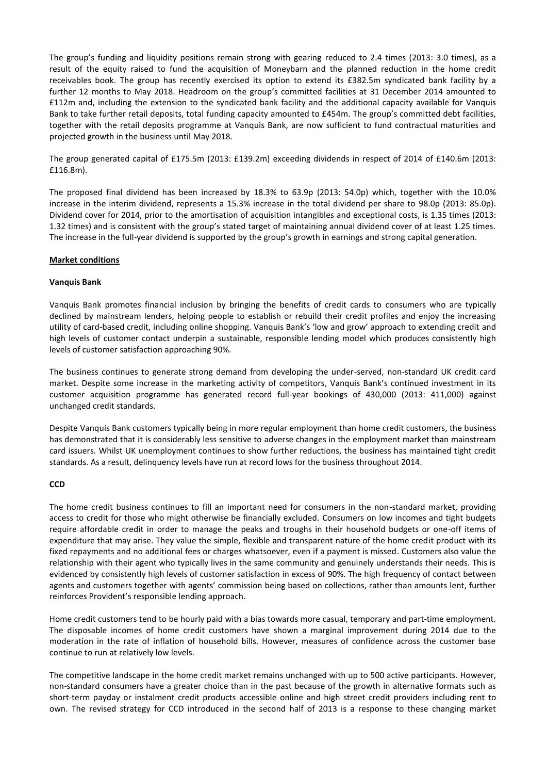The group's funding and liquidity positions remain strong with gearing reduced to 2.4 times (2013: 3.0 times), as a result of the equity raised to fund the acquisition of Moneybarn and the planned reduction in the home credit receivables book. The group has recently exercised its option to extend its £382.5m syndicated bank facility by a further 12 months to May 2018. Headroom on the group's committed facilities at 31 December 2014 amounted to £112m and, including the extension to the syndicated bank facility and the additional capacity available for Vanquis Bank to take further retail deposits, total funding capacity amounted to £454m. The group's committed debt facilities, together with the retail deposits programme at Vanquis Bank, are now sufficient to fund contractual maturities and projected growth in the business until May 2018.

The group generated capital of £175.5m (2013: £139.2m) exceeding dividends in respect of 2014 of £140.6m (2013: £116.8m).

The proposed final dividend has been increased by 18.3% to 63.9p (2013: 54.0p) which, together with the 10.0% increase in the interim dividend, represents a 15.3% increase in the total dividend per share to 98.0p (2013: 85.0p). Dividend cover for 2014, prior to the amortisation of acquisition intangibles and exceptional costs, is 1.35 times (2013: 1.32 times) and is consistent with the group's stated target of maintaining annual dividend cover of at least 1.25 times. The increase in the full-year dividend is supported by the group's growth in earnings and strong capital generation.

#### **Market conditions**

#### **Vanquis Bank**

Vanquis Bank promotes financial inclusion by bringing the benefits of credit cards to consumers who are typically declined by mainstream lenders, helping people to establish or rebuild their credit profiles and enjoy the increasing utility of card-based credit, including online shopping. Vanquis Bank's 'low and grow' approach to extending credit and high levels of customer contact underpin a sustainable, responsible lending model which produces consistently high levels of customer satisfaction approaching 90%.

The business continues to generate strong demand from developing the under-served, non-standard UK credit card market. Despite some increase in the marketing activity of competitors, Vanquis Bank's continued investment in its customer acquisition programme has generated record full-year bookings of 430,000 (2013: 411,000) against unchanged credit standards.

Despite Vanquis Bank customers typically being in more regular employment than home credit customers, the business has demonstrated that it is considerably less sensitive to adverse changes in the employment market than mainstream card issuers. Whilst UK unemployment continues to show further reductions, the business has maintained tight credit standards. As a result, delinquency levels have run at record lows for the business throughout 2014.

## **CCD**

The home credit business continues to fill an important need for consumers in the non-standard market, providing access to credit for those who might otherwise be financially excluded. Consumers on low incomes and tight budgets require affordable credit in order to manage the peaks and troughs in their household budgets or one-off items of expenditure that may arise. They value the simple, flexible and transparent nature of the home credit product with its fixed repayments and no additional fees or charges whatsoever, even if a payment is missed. Customers also value the relationship with their agent who typically lives in the same community and genuinely understands their needs. This is evidenced by consistently high levels of customer satisfaction in excess of 90%. The high frequency of contact between agents and customers together with agents' commission being based on collections, rather than amounts lent, further reinforces Provident's responsible lending approach.

Home credit customers tend to be hourly paid with a bias towards more casual, temporary and part-time employment. The disposable incomes of home credit customers have shown a marginal improvement during 2014 due to the moderation in the rate of inflation of household bills. However, measures of confidence across the customer base continue to run at relatively low levels.

The competitive landscape in the home credit market remains unchanged with up to 500 active participants. However, non-standard consumers have a greater choice than in the past because of the growth in alternative formats such as short-term payday or instalment credit products accessible online and high street credit providers including rent to own. The revised strategy for CCD introduced in the second half of 2013 is a response to these changing market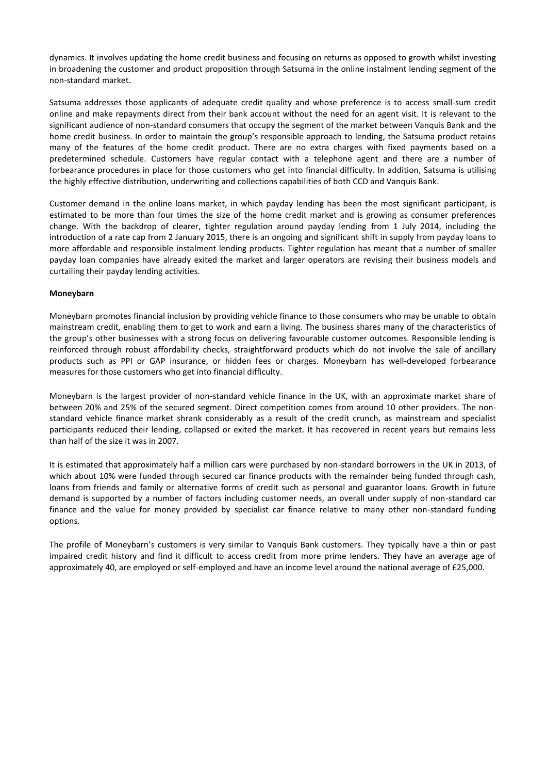dynamics. It involves updating the home credit business and focusing on returns as opposed to growth whilst investing in broadening the customer and product proposition through Satsuma in the online instalment lending segment of the non-standard market.

Satsuma addresses those applicants of adequate credit quality and whose preference is to access small-sum credit online and make repayments direct from their bank account without the need for an agent visit. It is relevant to the significant audience of non-standard consumers that occupy the segment of the market between Vanquis Bank and the home credit business. In order to maintain the group's responsible approach to lending, the Satsuma product retains many of the features of the home credit product. There are no extra charges with fixed payments based on a predetermined schedule. Customers have regular contact with a telephone agent and there are a number of forbearance procedures in place for those customers who get into financial difficulty. In addition, Satsuma is utilising the highly effective distribution, underwriting and collections capabilities of both CCD and Vanquis Bank.

Customer demand in the online loans market, in which payday lending has been the most significant participant, is estimated to be more than four times the size of the home credit market and is growing as consumer preferences change. With the backdrop of clearer, tighter regulation around payday lending from 1 July 2014, including the introduction of a rate cap from 2 January 2015, there is an ongoing and significant shift in supply from payday loans to more affordable and responsible instalment lending products. Tighter regulation has meant that a number of smaller payday loan companies have already exited the market and larger operators are revising their business models and curtailing their payday lending activities.

## **Moneybarn**

Moneybarn promotes financial inclusion by providing vehicle finance to those consumers who may be unable to obtain mainstream credit, enabling them to get to work and earn a living. The business shares many of the characteristics of the group's other businesses with a strong focus on delivering favourable customer outcomes. Responsible lending is reinforced through robust affordability checks, straightforward products which do not involve the sale of ancillary products such as PPI or GAP insurance, or hidden fees or charges. Moneybarn has well-developed forbearance measures for those customers who get into financial difficulty.

Moneybarn is the largest provider of non-standard vehicle finance in the UK, with an approximate market share of between 20% and 25% of the secured segment. Direct competition comes from around 10 other providers. The nonstandard vehicle finance market shrank considerably as a result of the credit crunch, as mainstream and specialist participants reduced their lending, collapsed or exited the market. It has recovered in recent years but remains less than half of the size it was in 2007.

It is estimated that approximately half a million cars were purchased by non-standard borrowers in the UK in 2013, of which about 10% were funded through secured car finance products with the remainder being funded through cash, loans from friends and family or alternative forms of credit such as personal and guarantor loans. Growth in future demand is supported by a number of factors including customer needs, an overall under supply of non-standard car finance and the value for money provided by specialist car finance relative to many other non-standard funding options.

The profile of Moneybarn's customers is very similar to Vanquis Bank customers. They typically have a thin or past impaired credit history and find it difficult to access credit from more prime lenders. They have an average age of approximately 40, are employed or self-employed and have an income level around the national average of £25,000.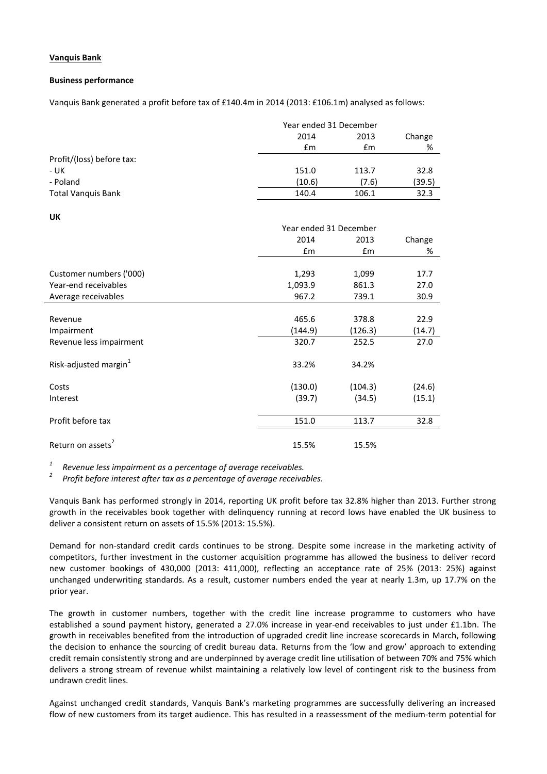## **Vanquis Bank**

#### **Business performance**

Vanquis Bank generated a profit before tax of £140.4m in 2014 (2013: £106.1m) analysed as follows:

|                           |        | Year ended 31 December |        |  |
|---------------------------|--------|------------------------|--------|--|
|                           | 2014   | 2013                   | Change |  |
|                           | £m     | £m                     | %      |  |
| Profit/(loss) before tax: |        |                        |        |  |
| - UK                      | 151.0  | 113.7                  | 32.8   |  |
| - Poland                  | (10.6) | (7.6)                  | (39.5) |  |
| <b>Total Vanquis Bank</b> | 140.4  | 106.1                  | 32.3   |  |

**UK**

|                                   |               | Year ended 31 December |        |  |
|-----------------------------------|---------------|------------------------|--------|--|
|                                   | 2014          | 2013                   | Change |  |
|                                   | $\mathsf{fm}$ | $\mathsf{fm}$          | %      |  |
|                                   |               |                        |        |  |
| Customer numbers ('000)           | 1,293         | 1,099                  | 17.7   |  |
| Year-end receivables              | 1,093.9       | 861.3                  | 27.0   |  |
| Average receivables               | 967.2         | 739.1                  | 30.9   |  |
|                                   |               |                        |        |  |
| Revenue                           | 465.6         | 378.8                  | 22.9   |  |
| Impairment                        | (144.9)       | (126.3)                | (14.7) |  |
| Revenue less impairment           | 320.7         | 252.5                  | 27.0   |  |
|                                   |               |                        |        |  |
| Risk-adjusted margin <sup>1</sup> | 33.2%         | 34.2%                  |        |  |
| Costs                             | (130.0)       | (104.3)                | (24.6) |  |
| Interest                          | (39.7)        | (34.5)                 | (15.1) |  |
|                                   |               |                        |        |  |
| Profit before tax                 | 151.0         | 113.7                  | 32.8   |  |
|                                   |               |                        |        |  |
| Return on assets <sup>2</sup>     | 15.5%         | 15.5%                  |        |  |

*1 Revenue less impairment as a percentage of average receivables.*

*2 Profit before interest after tax as a percentage of average receivables.*

Vanquis Bank has performed strongly in 2014, reporting UK profit before tax 32.8% higher than 2013. Further strong growth in the receivables book together with delinquency running at record lows have enabled the UK business to deliver a consistent return on assets of 15.5% (2013: 15.5%).

Demand for non-standard credit cards continues to be strong. Despite some increase in the marketing activity of competitors, further investment in the customer acquisition programme has allowed the business to deliver record new customer bookings of 430,000 (2013: 411,000), reflecting an acceptance rate of 25% (2013: 25%) against unchanged underwriting standards. As a result, customer numbers ended the year at nearly 1.3m, up 17.7% on the prior year.

The growth in customer numbers, together with the credit line increase programme to customers who have established a sound payment history, generated a 27.0% increase in year-end receivables to just under £1.1bn. The growth in receivables benefited from the introduction of upgraded credit line increase scorecards in March, following the decision to enhance the sourcing of credit bureau data. Returns from the 'low and grow' approach to extending credit remain consistently strong and are underpinned by average credit line utilisation of between 70% and 75% which delivers a strong stream of revenue whilst maintaining a relatively low level of contingent risk to the business from undrawn credit lines.

Against unchanged credit standards, Vanquis Bank's marketing programmes are successfully delivering an increased flow of new customers from its target audience. This has resulted in a reassessment of the medium-term potential for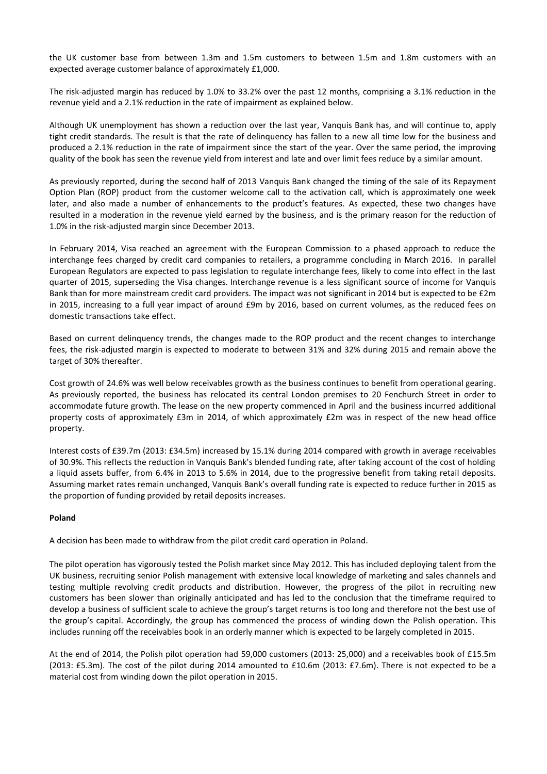the UK customer base from between 1.3m and 1.5m customers to between 1.5m and 1.8m customers with an expected average customer balance of approximately £1,000.

The risk-adjusted margin has reduced by 1.0% to 33.2% over the past 12 months, comprising a 3.1% reduction in the revenue yield and a 2.1% reduction in the rate of impairment as explained below.

Although UK unemployment has shown a reduction over the last year, Vanquis Bank has, and will continue to, apply tight credit standards. The result is that the rate of delinquency has fallen to a new all time low for the business and produced a 2.1% reduction in the rate of impairment since the start of the year. Over the same period, the improving quality of the book has seen the revenue yield from interest and late and over limit fees reduce by a similar amount.

As previously reported, during the second half of 2013 Vanquis Bank changed the timing of the sale of its Repayment Option Plan (ROP) product from the customer welcome call to the activation call, which is approximately one week later, and also made a number of enhancements to the product's features. As expected, these two changes have resulted in a moderation in the revenue yield earned by the business, and is the primary reason for the reduction of 1.0% in the risk-adjusted margin since December 2013.

In February 2014, Visa reached an agreement with the European Commission to a phased approach to reduce the interchange fees charged by credit card companies to retailers, a programme concluding in March 2016. In parallel European Regulators are expected to pass legislation to regulate interchange fees, likely to come into effect in the last quarter of 2015, superseding the Visa changes. Interchange revenue is a less significant source of income for Vanquis Bank than for more mainstream credit card providers. The impact was not significant in 2014 but is expected to be £2m in 2015, increasing to a full year impact of around £9m by 2016, based on current volumes, as the reduced fees on domestic transactions take effect.

Based on current delinquency trends, the changes made to the ROP product and the recent changes to interchange fees, the risk-adjusted margin is expected to moderate to between 31% and 32% during 2015 and remain above the target of 30% thereafter.

Cost growth of 24.6% was well below receivables growth as the business continues to benefit from operational gearing. As previously reported, the business has relocated its central London premises to 20 Fenchurch Street in order to accommodate future growth. The lease on the new property commenced in April and the business incurred additional property costs of approximately £3m in 2014, of which approximately £2m was in respect of the new head office property.

Interest costs of £39.7m (2013: £34.5m) increased by 15.1% during 2014 compared with growth in average receivables of 30.9%. This reflects the reduction in Vanquis Bank's blended funding rate, after taking account of the cost of holding a liquid assets buffer, from 6.4% in 2013 to 5.6% in 2014, due to the progressive benefit from taking retail deposits. Assuming market rates remain unchanged, Vanquis Bank's overall funding rate is expected to reduce further in 2015 as the proportion of funding provided by retail deposits increases.

## **Poland**

A decision has been made to withdraw from the pilot credit card operation in Poland.

The pilot operation has vigorously tested the Polish market since May 2012. This has included deploying talent from the UK business, recruiting senior Polish management with extensive local knowledge of marketing and sales channels and testing multiple revolving credit products and distribution. However, the progress of the pilot in recruiting new customers has been slower than originally anticipated and has led to the conclusion that the timeframe required to develop a business of sufficient scale to achieve the group's target returns is too long and therefore not the best use of the group's capital. Accordingly, the group has commenced the process of winding down the Polish operation. This includes running off the receivables book in an orderly manner which is expected to be largely completed in 2015.

At the end of 2014, the Polish pilot operation had 59,000 customers (2013: 25,000) and a receivables book of £15.5m (2013: £5.3m). The cost of the pilot during 2014 amounted to £10.6m (2013: £7.6m). There is not expected to be a material cost from winding down the pilot operation in 2015.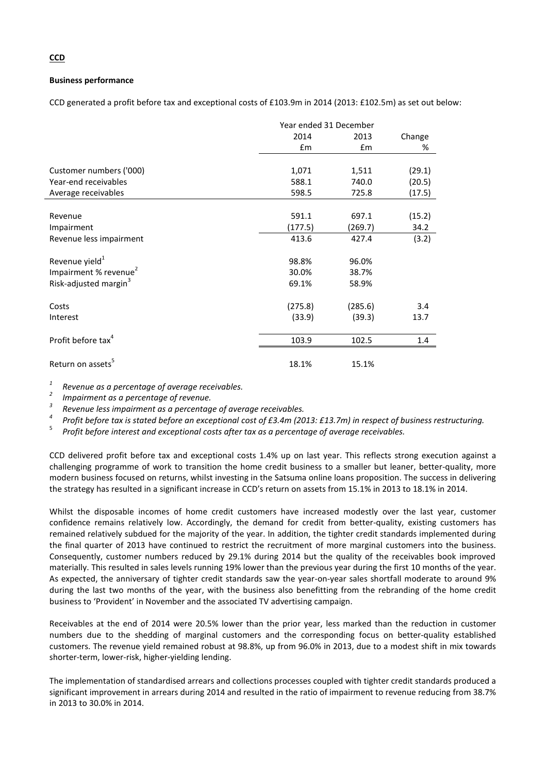## **Business performance**

CCD generated a profit before tax and exceptional costs of £103.9m in 2014 (2013: £102.5m) as set out below:

|                                   | Year ended 31 December |               |        |
|-----------------------------------|------------------------|---------------|--------|
|                                   | 2014                   | 2013          | Change |
|                                   | $\mathsf{fm}$          | $\mathsf{fm}$ | %      |
|                                   |                        |               |        |
| Customer numbers ('000)           | 1,071                  | 1,511         | (29.1) |
| Year-end receivables              | 588.1                  | 740.0         | (20.5) |
| Average receivables               | 598.5                  | 725.8         | (17.5) |
|                                   |                        |               |        |
| Revenue                           | 591.1                  | 697.1         | (15.2) |
| Impairment                        | (177.5)                | (269.7)       | 34.2   |
| Revenue less impairment           | 413.6                  | 427.4         | (3.2)  |
| Revenue yield <sup>1</sup>        | 98.8%                  | 96.0%         |        |
| Impairment % revenue <sup>2</sup> | 30.0%                  | 38.7%         |        |
| Risk-adjusted margin <sup>3</sup> | 69.1%                  | 58.9%         |        |
| Costs                             | (275.8)                | (285.6)       | 3.4    |
| Interest                          | (33.9)                 | (39.3)        | 13.7   |
| Profit before tax <sup>4</sup>    | 103.9                  | 102.5         | 1.4    |
| Return on assets <sup>5</sup>     | 18.1%                  | 15.1%         |        |

*1 Revenue as a percentage of average receivables.*

*2 Impairment as a percentage of revenue.*

*3 Revenue less impairment as a percentage of average receivables.*

*4 Profit before tax is stated before an exceptional cost of £3.4m (2013: £13.7m) in respect of business restructuring.*

5 *Profit before interest and exceptional costs after tax as a percentage of average receivables.*

CCD delivered profit before tax and exceptional costs 1.4% up on last year. This reflects strong execution against a challenging programme of work to transition the home credit business to a smaller but leaner, better-quality, more modern business focused on returns, whilst investing in the Satsuma online loans proposition. The success in delivering the strategy has resulted in a significant increase in CCD's return on assets from 15.1% in 2013 to 18.1% in 2014.

Whilst the disposable incomes of home credit customers have increased modestly over the last year, customer confidence remains relatively low. Accordingly, the demand for credit from better-quality, existing customers has remained relatively subdued for the majority of the year. In addition, the tighter credit standards implemented during the final quarter of 2013 have continued to restrict the recruitment of more marginal customers into the business. Consequently, customer numbers reduced by 29.1% during 2014 but the quality of the receivables book improved materially. This resulted in sales levels running 19% lower than the previous year during the first 10 months of the year. As expected, the anniversary of tighter credit standards saw the year-on-year sales shortfall moderate to around 9% during the last two months of the year, with the business also benefitting from the rebranding of the home credit business to 'Provident' in November and the associated TV advertising campaign.

Receivables at the end of 2014 were 20.5% lower than the prior year, less marked than the reduction in customer numbers due to the shedding of marginal customers and the corresponding focus on better-quality established customers. The revenue yield remained robust at 98.8%, up from 96.0% in 2013, due to a modest shift in mix towards shorter-term, lower-risk, higher-yielding lending.

The implementation of standardised arrears and collections processes coupled with tighter credit standards produced a significant improvement in arrears during 2014 and resulted in the ratio of impairment to revenue reducing from 38.7% in 2013 to 30.0% in 2014.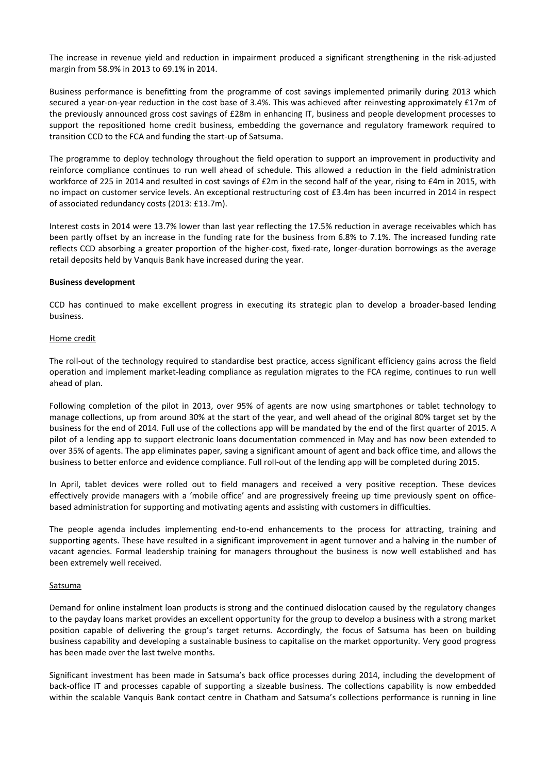The increase in revenue yield and reduction in impairment produced a significant strengthening in the risk-adjusted margin from 58.9% in 2013 to 69.1% in 2014.

Business performance is benefitting from the programme of cost savings implemented primarily during 2013 which secured a year-on-year reduction in the cost base of 3.4%. This was achieved after reinvesting approximately £17m of the previously announced gross cost savings of £28m in enhancing IT, business and people development processes to support the repositioned home credit business, embedding the governance and regulatory framework required to transition CCD to the FCA and funding the start-up of Satsuma.

The programme to deploy technology throughout the field operation to support an improvement in productivity and reinforce compliance continues to run well ahead of schedule. This allowed a reduction in the field administration workforce of 225 in 2014 and resulted in cost savings of £2m in the second half of the year, rising to £4m in 2015, with no impact on customer service levels. An exceptional restructuring cost of £3.4m has been incurred in 2014 in respect of associated redundancy costs (2013: £13.7m).

Interest costs in 2014 were 13.7% lower than last year reflecting the 17.5% reduction in average receivables which has been partly offset by an increase in the funding rate for the business from 6.8% to 7.1%. The increased funding rate reflects CCD absorbing a greater proportion of the higher-cost, fixed-rate, longer-duration borrowings as the average retail deposits held by Vanquis Bank have increased during the year.

#### **Business development**

CCD has continued to make excellent progress in executing its strategic plan to develop a broader-based lending business.

#### Home credit

The roll-out of the technology required to standardise best practice, access significant efficiency gains across the field operation and implement market-leading compliance as regulation migrates to the FCA regime, continues to run well ahead of plan.

Following completion of the pilot in 2013, over 95% of agents are now using smartphones or tablet technology to manage collections, up from around 30% at the start of the year, and well ahead of the original 80% target set by the business for the end of 2014. Full use of the collections app will be mandated by the end of the first quarter of 2015. A pilot of a lending app to support electronic loans documentation commenced in May and has now been extended to over 35% of agents. The app eliminates paper, saving a significant amount of agent and back office time, and allows the business to better enforce and evidence compliance. Full roll-out of the lending app will be completed during 2015.

In April, tablet devices were rolled out to field managers and received a very positive reception. These devices effectively provide managers with a 'mobile office' and are progressively freeing up time previously spent on officebased administration for supporting and motivating agents and assisting with customers in difficulties.

The people agenda includes implementing end-to-end enhancements to the process for attracting, training and supporting agents. These have resulted in a significant improvement in agent turnover and a halving in the number of vacant agencies. Formal leadership training for managers throughout the business is now well established and has been extremely well received.

#### **Satsuma**

Demand for online instalment loan products is strong and the continued dislocation caused by the regulatory changes to the payday loans market provides an excellent opportunity for the group to develop a business with a strong market position capable of delivering the group's target returns. Accordingly, the focus of Satsuma has been on building business capability and developing a sustainable business to capitalise on the market opportunity. Very good progress has been made over the last twelve months.

Significant investment has been made in Satsuma's back office processes during 2014, including the development of back-office IT and processes capable of supporting a sizeable business. The collections capability is now embedded within the scalable Vanquis Bank contact centre in Chatham and Satsuma's collections performance is running in line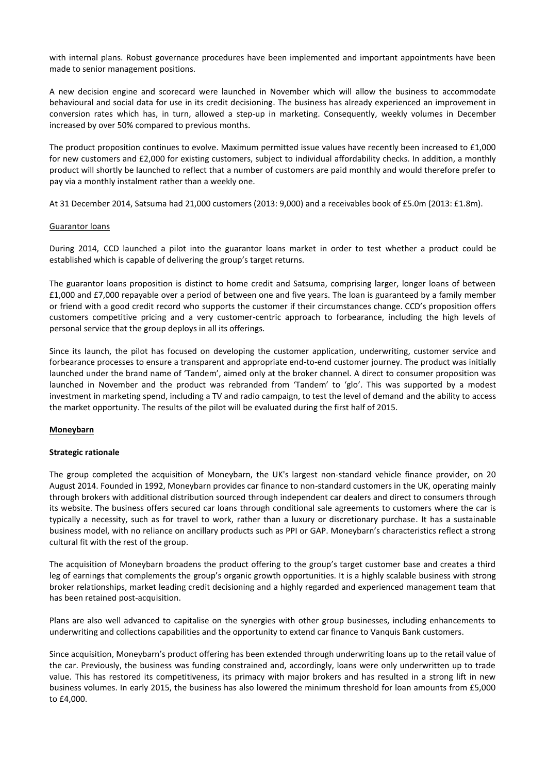with internal plans. Robust governance procedures have been implemented and important appointments have been made to senior management positions.

A new decision engine and scorecard were launched in November which will allow the business to accommodate behavioural and social data for use in its credit decisioning. The business has already experienced an improvement in conversion rates which has, in turn, allowed a step-up in marketing. Consequently, weekly volumes in December increased by over 50% compared to previous months.

The product proposition continues to evolve. Maximum permitted issue values have recently been increased to £1,000 for new customers and £2,000 for existing customers, subject to individual affordability checks. In addition, a monthly product will shortly be launched to reflect that a number of customers are paid monthly and would therefore prefer to pay via a monthly instalment rather than a weekly one.

At 31 December 2014, Satsuma had 21,000 customers (2013: 9,000) and a receivables book of £5.0m (2013: £1.8m).

#### Guarantor loans

During 2014, CCD launched a pilot into the guarantor loans market in order to test whether a product could be established which is capable of delivering the group's target returns.

The guarantor loans proposition is distinct to home credit and Satsuma, comprising larger, longer loans of between £1,000 and £7,000 repayable over a period of between one and five years. The loan is guaranteed by a family member or friend with a good credit record who supports the customer if their circumstances change. CCD's proposition offers customers competitive pricing and a very customer-centric approach to forbearance, including the high levels of personal service that the group deploys in all its offerings.

Since its launch, the pilot has focused on developing the customer application, underwriting, customer service and forbearance processes to ensure a transparent and appropriate end-to-end customer journey. The product was initially launched under the brand name of 'Tandem', aimed only at the broker channel. A direct to consumer proposition was launched in November and the product was rebranded from 'Tandem' to 'glo'. This was supported by a modest investment in marketing spend, including a TV and radio campaign, to test the level of demand and the ability to access the market opportunity. The results of the pilot will be evaluated during the first half of 2015.

## **Moneybarn**

#### **Strategic rationale**

The group completed the acquisition of Moneybarn, the UK's largest non-standard vehicle finance provider, on 20 August 2014. Founded in 1992, Moneybarn provides car finance to non-standard customers in the UK, operating mainly through brokers with additional distribution sourced through independent car dealers and direct to consumers through its website. The business offers secured car loans through conditional sale agreements to customers where the car is typically a necessity, such as for travel to work, rather than a luxury or discretionary purchase. It has a sustainable business model, with no reliance on ancillary products such as PPI or GAP. Moneybarn's characteristics reflect a strong cultural fit with the rest of the group.

The acquisition of Moneybarn broadens the product offering to the group's target customer base and creates a third leg of earnings that complements the group's organic growth opportunities. It is a highly scalable business with strong broker relationships, market leading credit decisioning and a highly regarded and experienced management team that has been retained post-acquisition.

Plans are also well advanced to capitalise on the synergies with other group businesses, including enhancements to underwriting and collections capabilities and the opportunity to extend car finance to Vanquis Bank customers.

Since acquisition, Moneybarn's product offering has been extended through underwriting loans up to the retail value of the car. Previously, the business was funding constrained and, accordingly, loans were only underwritten up to trade value. This has restored its competitiveness, its primacy with major brokers and has resulted in a strong lift in new business volumes. In early 2015, the business has also lowered the minimum threshold for loan amounts from £5,000 to £4,000.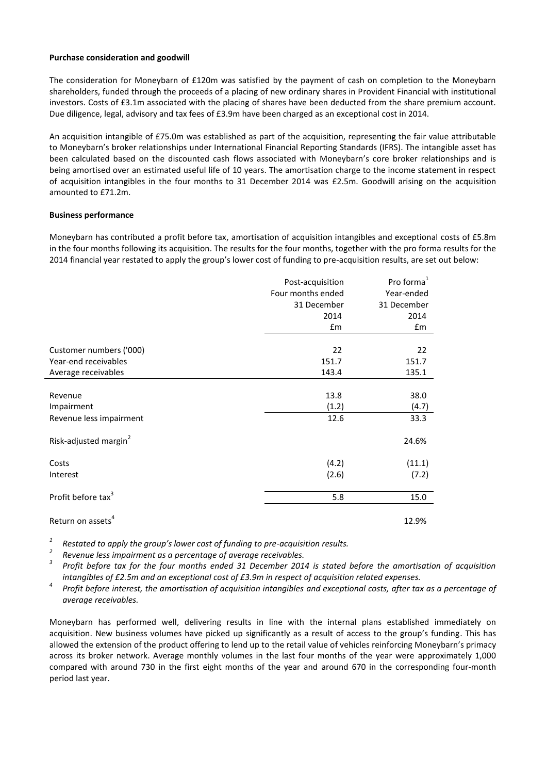#### **Purchase consideration and goodwill**

The consideration for Moneybarn of £120m was satisfied by the payment of cash on completion to the Moneybarn shareholders, funded through the proceeds of a placing of new ordinary shares in Provident Financial with institutional investors. Costs of £3.1m associated with the placing of shares have been deducted from the share premium account. Due diligence, legal, advisory and tax fees of £3.9m have been charged as an exceptional cost in 2014.

An acquisition intangible of £75.0m was established as part of the acquisition, representing the fair value attributable to Moneybarn's broker relationships under International Financial Reporting Standards (IFRS). The intangible asset has been calculated based on the discounted cash flows associated with Moneybarn's core broker relationships and is being amortised over an estimated useful life of 10 years. The amortisation charge to the income statement in respect of acquisition intangibles in the four months to 31 December 2014 was £2.5m. Goodwill arising on the acquisition amounted to £71.2m.

#### **Business performance**

Moneybarn has contributed a profit before tax, amortisation of acquisition intangibles and exceptional costs of £5.8m in the four months following its acquisition. The results for the four months, together with the pro forma results for the 2014 financial year restated to apply the group's lower cost of funding to pre-acquisition results, are set out below:

|                                   | Post-acquisition  | Pro forma <sup>1</sup> |
|-----------------------------------|-------------------|------------------------|
|                                   | Four months ended | Year-ended             |
|                                   | 31 December       | 31 December            |
|                                   | 2014              | 2014                   |
|                                   | £m                | £m                     |
| Customer numbers ('000)           | 22                | 22                     |
| Year-end receivables              | 151.7             | 151.7                  |
| Average receivables               | 143.4             | 135.1                  |
|                                   |                   |                        |
| Revenue                           | 13.8              | 38.0                   |
| Impairment                        | (1.2)             | (4.7)                  |
| Revenue less impairment           | 12.6              | 33.3                   |
| Risk-adjusted margin <sup>2</sup> |                   | 24.6%                  |
| Costs                             | (4.2)             | (11.1)                 |
| Interest                          | (2.6)             | (7.2)                  |
| Profit before tax <sup>3</sup>    | 5.8               | 15.0                   |
| Return on assets <sup>4</sup>     |                   | 12.9%                  |

*1 Restated to apply the group's lower cost of funding to pre-acquisition results.* 

*2 Revenue less impairment as a percentage of average receivables.*

*3 Profit before tax for the four months ended 31 December 2014 is stated before the amortisation of acquisition intangibles of £2.5m and an exceptional cost of £3.9m in respect of acquisition related expenses.*

*4 Profit before interest, the amortisation of acquisition intangibles and exceptional costs, after tax as a percentage of average receivables.*

Moneybarn has performed well, delivering results in line with the internal plans established immediately on acquisition. New business volumes have picked up significantly as a result of access to the group's funding. This has allowed the extension of the product offering to lend up to the retail value of vehicles reinforcing Moneybarn's primacy across its broker network. Average monthly volumes in the last four months of the year were approximately 1,000 compared with around 730 in the first eight months of the year and around 670 in the corresponding four-month period last year.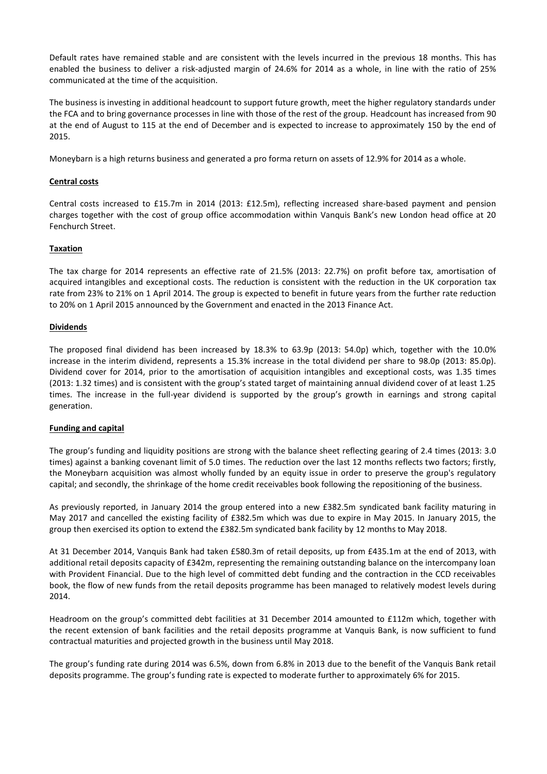Default rates have remained stable and are consistent with the levels incurred in the previous 18 months. This has enabled the business to deliver a risk-adjusted margin of 24.6% for 2014 as a whole, in line with the ratio of 25% communicated at the time of the acquisition.

The business is investing in additional headcount to support future growth, meet the higher regulatory standards under the FCA and to bring governance processes in line with those of the rest of the group. Headcount has increased from 90 at the end of August to 115 at the end of December and is expected to increase to approximately 150 by the end of 2015.

Moneybarn is a high returns business and generated a pro forma return on assets of 12.9% for 2014 as a whole.

## **Central costs**

Central costs increased to £15.7m in 2014 (2013: £12.5m), reflecting increased share-based payment and pension charges together with the cost of group office accommodation within Vanquis Bank's new London head office at 20 Fenchurch Street.

#### **Taxation**

The tax charge for 2014 represents an effective rate of 21.5% (2013: 22.7%) on profit before tax, amortisation of acquired intangibles and exceptional costs. The reduction is consistent with the reduction in the UK corporation tax rate from 23% to 21% on 1 April 2014. The group is expected to benefit in future years from the further rate reduction to 20% on 1 April 2015 announced by the Government and enacted in the 2013 Finance Act.

#### **Dividends**

The proposed final dividend has been increased by 18.3% to 63.9p (2013: 54.0p) which, together with the 10.0% increase in the interim dividend, represents a 15.3% increase in the total dividend per share to 98.0p (2013: 85.0p). Dividend cover for 2014, prior to the amortisation of acquisition intangibles and exceptional costs, was 1.35 times (2013: 1.32 times) and is consistent with the group's stated target of maintaining annual dividend cover of at least 1.25 times. The increase in the full-year dividend is supported by the group's growth in earnings and strong capital generation.

#### **Funding and capital**

The group's funding and liquidity positions are strong with the balance sheet reflecting gearing of 2.4 times (2013: 3.0 times) against a banking covenant limit of 5.0 times. The reduction over the last 12 months reflects two factors; firstly, the Moneybarn acquisition was almost wholly funded by an equity issue in order to preserve the group's regulatory capital; and secondly, the shrinkage of the home credit receivables book following the repositioning of the business.

As previously reported, in January 2014 the group entered into a new £382.5m syndicated bank facility maturing in May 2017 and cancelled the existing facility of £382.5m which was due to expire in May 2015. In January 2015, the group then exercised its option to extend the £382.5m syndicated bank facility by 12 months to May 2018.

At 31 December 2014, Vanquis Bank had taken £580.3m of retail deposits, up from £435.1m at the end of 2013, with additional retail deposits capacity of £342m, representing the remaining outstanding balance on the intercompany loan with Provident Financial. Due to the high level of committed debt funding and the contraction in the CCD receivables book, the flow of new funds from the retail deposits programme has been managed to relatively modest levels during 2014.

Headroom on the group's committed debt facilities at 31 December 2014 amounted to £112m which, together with the recent extension of bank facilities and the retail deposits programme at Vanquis Bank, is now sufficient to fund contractual maturities and projected growth in the business until May 2018.

The group's funding rate during 2014 was 6.5%, down from 6.8% in 2013 due to the benefit of the Vanquis Bank retail deposits programme. The group's funding rate is expected to moderate further to approximately 6% for 2015.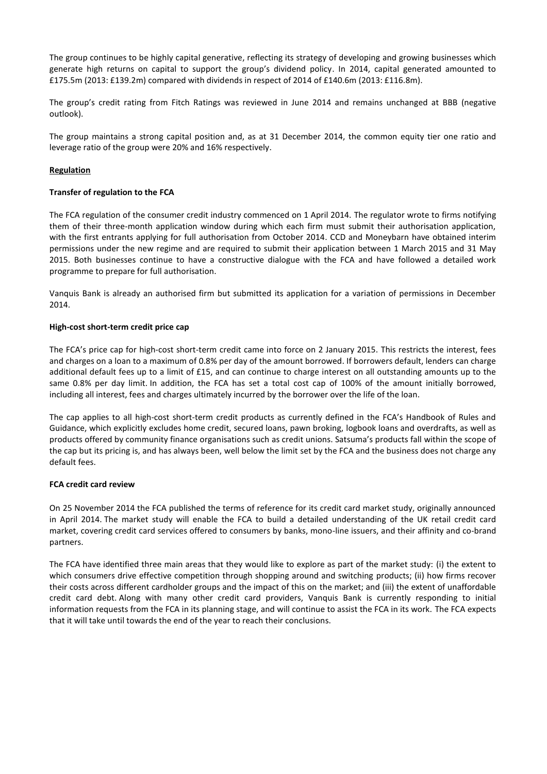The group continues to be highly capital generative, reflecting its strategy of developing and growing businesses which generate high returns on capital to support the group's dividend policy. In 2014, capital generated amounted to £175.5m (2013: £139.2m) compared with dividends in respect of 2014 of £140.6m (2013: £116.8m).

The group's credit rating from Fitch Ratings was reviewed in June 2014 and remains unchanged at BBB (negative outlook).

The group maintains a strong capital position and, as at 31 December 2014, the common equity tier one ratio and leverage ratio of the group were 20% and 16% respectively.

## **Regulation**

## **Transfer of regulation to the FCA**

The FCA regulation of the consumer credit industry commenced on 1 April 2014. The regulator wrote to firms notifying them of their three-month application window during which each firm must submit their authorisation application, with the first entrants applying for full authorisation from October 2014. CCD and Moneybarn have obtained interim permissions under the new regime and are required to submit their application between 1 March 2015 and 31 May 2015. Both businesses continue to have a constructive dialogue with the FCA and have followed a detailed work programme to prepare for full authorisation.

Vanquis Bank is already an authorised firm but submitted its application for a variation of permissions in December 2014.

#### **High-cost short-term credit price cap**

The FCA's price cap for high-cost short-term credit came into force on 2 January 2015. This restricts the interest, fees and charges on a loan to a maximum of 0.8% per day of the amount borrowed. If borrowers default, lenders can charge additional default fees up to a limit of £15, and can continue to charge interest on all outstanding amounts up to the same 0.8% per day limit. In addition, the FCA has set a total cost cap of 100% of the amount initially borrowed, including all interest, fees and charges ultimately incurred by the borrower over the life of the loan.

The cap applies to all high-cost short-term credit products as currently defined in the FCA's Handbook of Rules and Guidance, which explicitly excludes home credit, secured loans, pawn broking, logbook loans and overdrafts, as well as products offered by community finance organisations such as credit unions. Satsuma's products fall within the scope of the cap but its pricing is, and has always been, well below the limit set by the FCA and the business does not charge any default fees.

## **FCA credit card review**

On 25 November 2014 the FCA published the terms of reference for its credit card market study, originally announced in April 2014. The market study will enable the FCA to build a detailed understanding of the UK retail credit card market, covering credit card services offered to consumers by banks, mono-line issuers, and their affinity and co-brand partners.

The FCA have identified three main areas that they would like to explore as part of the market study: (i) the extent to which consumers drive effective competition through shopping around and switching products; (ii) how firms recover their costs across different cardholder groups and the impact of this on the market; and (iii) the extent of unaffordable credit card debt. Along with many other credit card providers, Vanquis Bank is currently responding to initial information requests from the FCA in its planning stage, and will continue to assist the FCA in its work. The FCA expects that it will take until towards the end of the year to reach their conclusions.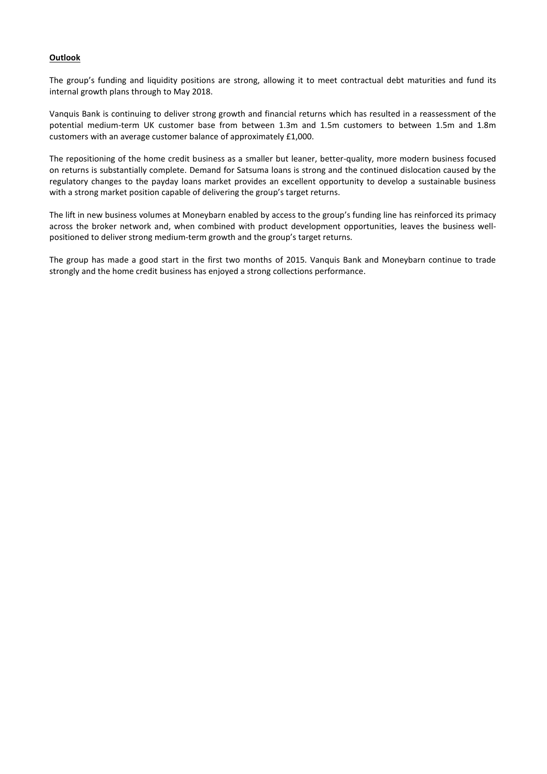## **Outlook**

The group's funding and liquidity positions are strong, allowing it to meet contractual debt maturities and fund its internal growth plans through to May 2018.

Vanquis Bank is continuing to deliver strong growth and financial returns which has resulted in a reassessment of the potential medium-term UK customer base from between 1.3m and 1.5m customers to between 1.5m and 1.8m customers with an average customer balance of approximately £1,000.

The repositioning of the home credit business as a smaller but leaner, better-quality, more modern business focused on returns is substantially complete. Demand for Satsuma loans is strong and the continued dislocation caused by the regulatory changes to the payday loans market provides an excellent opportunity to develop a sustainable business with a strong market position capable of delivering the group's target returns.

The lift in new business volumes at Moneybarn enabled by access to the group's funding line has reinforced its primacy across the broker network and, when combined with product development opportunities, leaves the business wellpositioned to deliver strong medium-term growth and the group's target returns.

The group has made a good start in the first two months of 2015. Vanquis Bank and Moneybarn continue to trade strongly and the home credit business has enjoyed a strong collections performance.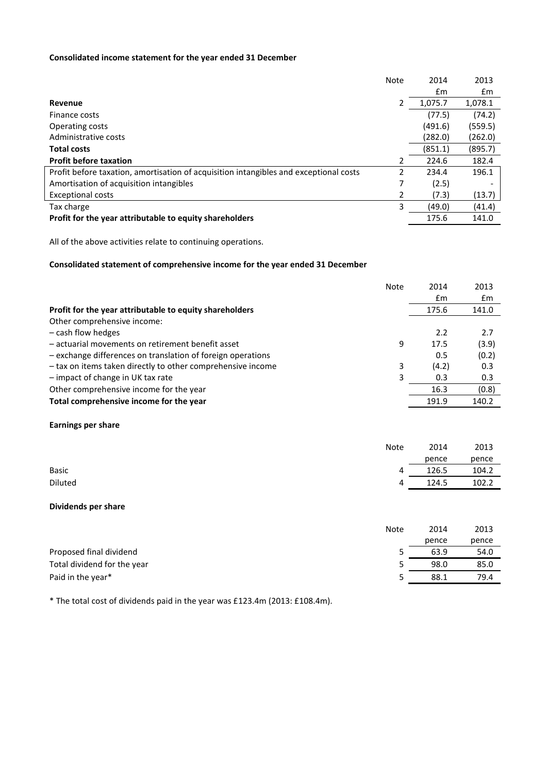## **Consolidated income statement for the year ended 31 December**

|                                                                                       | Note | 2014          | 2013    |
|---------------------------------------------------------------------------------------|------|---------------|---------|
|                                                                                       |      | $\mathsf{fm}$ | £m      |
| Revenue                                                                               |      | 1,075.7       | 1,078.1 |
| Finance costs                                                                         |      | (77.5)        | (74.2)  |
| <b>Operating costs</b>                                                                |      | (491.6)       | (559.5) |
| Administrative costs                                                                  |      | (282.0)       | (262.0) |
| <b>Total costs</b>                                                                    |      | (851.1)       | (895.7) |
| <b>Profit before taxation</b>                                                         | 2    | 224.6         | 182.4   |
| Profit before taxation, amortisation of acquisition intangibles and exceptional costs | 2    | 234.4         | 196.1   |
| Amortisation of acquisition intangibles                                               | 7    | (2.5)         |         |
| <b>Exceptional costs</b>                                                              | 2    | (7.3)         | (13.7)  |
| Tax charge                                                                            | 3    | (49.0)        | (41.4)  |
| Profit for the year attributable to equity shareholders                               |      | 175.6         | 141.0   |

All of the above activities relate to continuing operations.

## **Consolidated statement of comprehensive income for the year ended 31 December**

|                                                             | <b>Note</b> | 2014  | 2013          |
|-------------------------------------------------------------|-------------|-------|---------------|
|                                                             |             | £m    | $\mathsf{fm}$ |
| Profit for the year attributable to equity shareholders     |             | 175.6 | 141.0         |
| Other comprehensive income:                                 |             |       |               |
| - cash flow hedges                                          |             | 2.2   | 2.7           |
| - actuarial movements on retirement benefit asset           | 9           | 17.5  | (3.9)         |
| - exchange differences on translation of foreign operations |             | 0.5   | (0.2)         |
| - tax on items taken directly to other comprehensive income | 3           | (4.2) | 0.3           |
| - impact of change in UK tax rate                           | 3           | 0.3   | 0.3           |
| Other comprehensive income for the year                     |             | 16.3  | (0.8)         |
| Total comprehensive income for the year                     |             | 191.9 | 140.2         |
| <b>Earnings per share</b>                                   |             |       |               |
|                                                             | <b>Note</b> | 2014  | 2013          |
|                                                             |             | pence | pence         |
| <b>Basic</b>                                                | 4           | 126.5 | 104.2         |
| <b>Diluted</b>                                              | 4           | 124.5 | 102.2         |
| Dividends per share                                         |             |       |               |
|                                                             | <b>Note</b> | 2014  | 2013          |
|                                                             |             | pence | pence         |
| Proposed final dividend                                     | 5           | 63.9  | 54.0          |
| Total dividend for the year                                 | 5           | 98.0  | 85.0          |

Paid in the year\* 38.1 79.4

\* The total cost of dividends paid in the year was £123.4m (2013: £108.4m).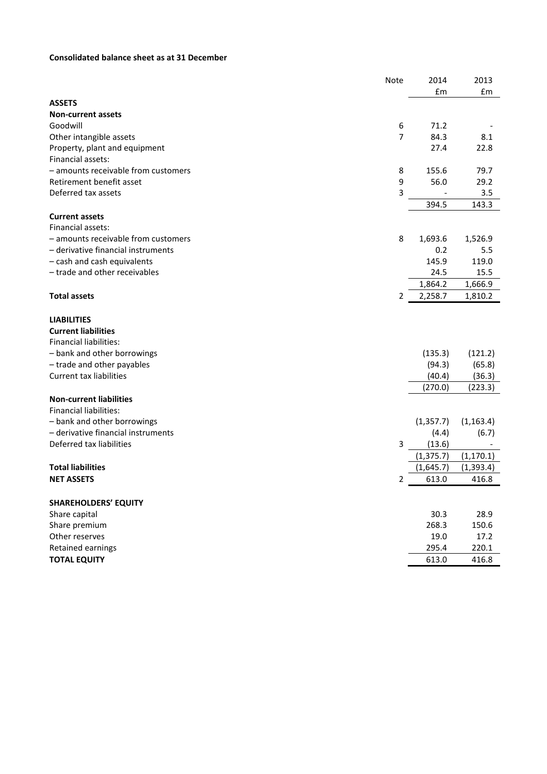## **Consolidated balance sheet as at 31 December**

|                                     | Note | 2014       | 2013       |
|-------------------------------------|------|------------|------------|
|                                     |      | £m         | £m         |
| <b>ASSETS</b>                       |      |            |            |
| <b>Non-current assets</b>           |      |            |            |
| Goodwill                            | 6    | 71.2       |            |
| Other intangible assets             | 7    | 84.3       | 8.1        |
| Property, plant and equipment       |      | 27.4       | 22.8       |
| Financial assets:                   |      |            |            |
| - amounts receivable from customers | 8    | 155.6      | 79.7       |
| Retirement benefit asset            | 9    | 56.0       | 29.2       |
| Deferred tax assets                 | 3    |            | 3.5        |
|                                     |      | 394.5      | 143.3      |
| <b>Current assets</b>               |      |            |            |
| Financial assets:                   |      |            |            |
| - amounts receivable from customers | 8    | 1,693.6    | 1,526.9    |
| - derivative financial instruments  |      | 0.2        | 5.5        |
| - cash and cash equivalents         |      | 145.9      | 119.0      |
| - trade and other receivables       |      | 24.5       | 15.5       |
|                                     |      | 1,864.2    | 1,666.9    |
| <b>Total assets</b>                 | 2    | 2,258.7    | 1,810.2    |
|                                     |      |            |            |
| <b>LIABILITIES</b>                  |      |            |            |
| <b>Current liabilities</b>          |      |            |            |
| <b>Financial liabilities:</b>       |      |            |            |
| - bank and other borrowings         |      | (135.3)    | (121.2)    |
| - trade and other payables          |      | (94.3)     | (65.8)     |
| <b>Current tax liabilities</b>      |      | (40.4)     | (36.3)     |
|                                     |      | (270.0)    | (223.3)    |
| <b>Non-current liabilities</b>      |      |            |            |
| Financial liabilities:              |      |            |            |
| - bank and other borrowings         |      | (1, 357.7) | (1, 163.4) |
| - derivative financial instruments  |      | (4.4)      | (6.7)      |
| Deferred tax liabilities            | 3    | (13.6)     |            |
|                                     |      | (1, 375.7) | (1, 170.1) |
| <b>Total liabilities</b>            |      | (1,645.7)  | (1, 393.4) |
| <b>NET ASSETS</b>                   | 2    | 613.0      | 416.8      |
|                                     |      |            |            |
| <b>SHAREHOLDERS' EQUITY</b>         |      |            |            |
| Share capital                       |      | 30.3       | 28.9       |
| Share premium                       |      | 268.3      | 150.6      |
| Other reserves                      |      | 19.0       | 17.2       |
| Retained earnings                   |      | 295.4      | 220.1      |
| <b>TOTAL EQUITY</b>                 |      | 613.0      | 416.8      |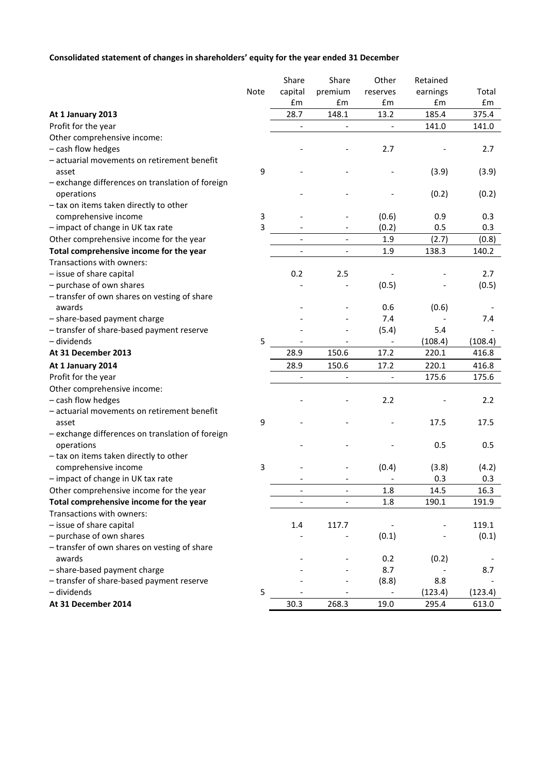## **Consolidated statement of changes in shareholders' equity for the year ended 31 December**

|                                                  |      | Share   | Share                        | Other    | Retained |         |
|--------------------------------------------------|------|---------|------------------------------|----------|----------|---------|
|                                                  | Note | capital | premium                      | reserves | earnings | Total   |
|                                                  |      | £m      | £m                           | £m       | £m       | £m      |
| At 1 January 2013                                |      | 28.7    | 148.1                        | 13.2     | 185.4    | 375.4   |
| Profit for the year                              |      |         |                              |          | 141.0    | 141.0   |
| Other comprehensive income:                      |      |         |                              |          |          |         |
| - cash flow hedges                               |      |         |                              | 2.7      |          | 2.7     |
| - actuarial movements on retirement benefit      |      |         |                              |          |          |         |
| asset                                            | 9    |         |                              |          | (3.9)    | (3.9)   |
| - exchange differences on translation of foreign |      |         |                              |          |          |         |
| operations                                       |      |         |                              |          | (0.2)    | (0.2)   |
| - tax on items taken directly to other           |      |         |                              |          |          |         |
| comprehensive income                             | 3    |         |                              | (0.6)    | 0.9      | 0.3     |
| - impact of change in UK tax rate                | 3    |         |                              | (0.2)    | 0.5      | 0.3     |
| Other comprehensive income for the year          |      |         | $\blacksquare$               | 1.9      | (2.7)    | (0.8)   |
| Total comprehensive income for the year          |      |         | $\overline{\phantom{a}}$     | 1.9      | 138.3    | 140.2   |
| Transactions with owners:                        |      |         |                              |          |          |         |
| - issue of share capital                         |      | 0.2     | 2.5                          |          |          | 2.7     |
| - purchase of own shares                         |      |         |                              | (0.5)    |          | (0.5)   |
| - transfer of own shares on vesting of share     |      |         |                              |          |          |         |
| awards                                           |      |         |                              | 0.6      | (0.6)    |         |
| - share-based payment charge                     |      |         |                              | 7.4      |          | 7.4     |
| - transfer of share-based payment reserve        |      |         |                              | (5.4)    | 5.4      |         |
| - dividends                                      | 5    |         |                              |          | (108.4)  | (108.4) |
| At 31 December 2013                              |      | 28.9    | 150.6                        | 17.2     | 220.1    | 416.8   |
| At 1 January 2014                                |      | 28.9    | 150.6                        | 17.2     | 220.1    | 416.8   |
| Profit for the year                              |      |         | $\qquad \qquad \blacksquare$ |          | 175.6    | 175.6   |
| Other comprehensive income:                      |      |         |                              |          |          |         |
| - cash flow hedges                               |      |         |                              | 2.2      |          | 2.2     |
| - actuarial movements on retirement benefit      |      |         |                              |          |          |         |
| asset                                            | 9    |         |                              |          | 17.5     | 17.5    |
| - exchange differences on translation of foreign |      |         |                              |          |          |         |
| operations                                       |      |         |                              |          | 0.5      | 0.5     |
| - tax on items taken directly to other           |      |         |                              |          |          |         |
| comprehensive income                             | 3    |         |                              | (0.4)    | (3.8)    | (4.2)   |
| - impact of change in UK tax rate                |      |         |                              |          | 0.3      | 0.3     |
| Other comprehensive income for the year          |      |         |                              | 1.8      | 14.5     | 16.3    |
| Total comprehensive income for the year          |      |         |                              | 1.8      | 190.1    | 191.9   |
| Transactions with owners:                        |      |         |                              |          |          |         |
|                                                  |      |         |                              |          |          |         |
| - issue of share capital                         |      | 1.4     | 117.7                        |          |          | 119.1   |
| - purchase of own shares                         |      |         |                              | (0.1)    |          | (0.1)   |
| - transfer of own shares on vesting of share     |      |         |                              |          |          |         |
| awards                                           |      |         |                              | 0.2      | (0.2)    |         |
| - share-based payment charge                     |      |         |                              | 8.7      |          | 8.7     |
| - transfer of share-based payment reserve        |      |         |                              | (8.8)    | 8.8      |         |
| - dividends                                      | 5    |         |                              |          | (123.4)  | (123.4) |
| At 31 December 2014                              |      | 30.3    | 268.3                        | 19.0     | 295.4    | 613.0   |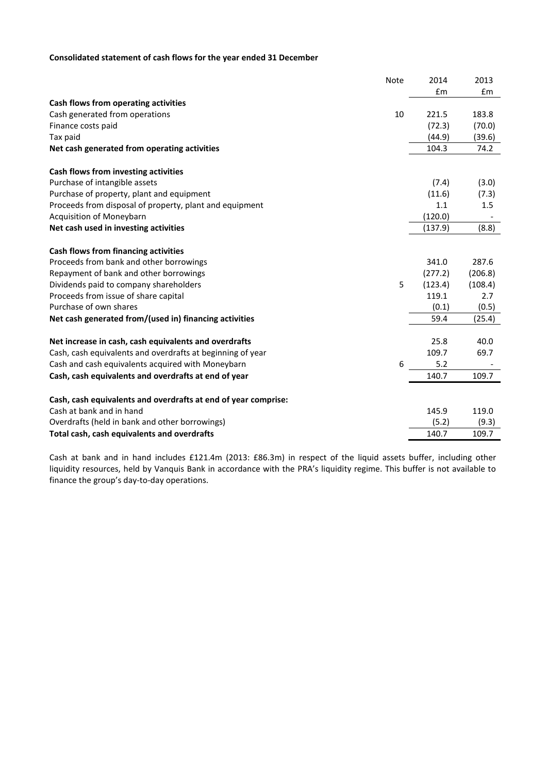## **Consolidated statement of cash flows for the year ended 31 December**

|                                                                | Note | 2014    | 2013    |
|----------------------------------------------------------------|------|---------|---------|
|                                                                |      | £m      | £m      |
| Cash flows from operating activities                           |      |         |         |
| Cash generated from operations                                 | 10   | 221.5   | 183.8   |
| Finance costs paid                                             |      | (72.3)  | (70.0)  |
| Tax paid                                                       |      | (44.9)  | (39.6)  |
| Net cash generated from operating activities                   |      | 104.3   | 74.2    |
| Cash flows from investing activities                           |      |         |         |
| Purchase of intangible assets                                  |      | (7.4)   | (3.0)   |
| Purchase of property, plant and equipment                      |      | (11.6)  | (7.3)   |
| Proceeds from disposal of property, plant and equipment        |      | 1.1     | 1.5     |
| Acquisition of Moneybarn                                       |      | (120.0) |         |
| Net cash used in investing activities                          |      | (137.9) | (8.8)   |
| Cash flows from financing activities                           |      |         |         |
| Proceeds from bank and other borrowings                        |      | 341.0   | 287.6   |
| Repayment of bank and other borrowings                         |      | (277.2) | (206.8) |
| Dividends paid to company shareholders                         | 5    | (123.4) | (108.4) |
| Proceeds from issue of share capital                           |      | 119.1   | 2.7     |
| Purchase of own shares                                         |      | (0.1)   | (0.5)   |
| Net cash generated from/(used in) financing activities         |      | 59.4    | (25.4)  |
| Net increase in cash, cash equivalents and overdrafts          |      | 25.8    | 40.0    |
| Cash, cash equivalents and overdrafts at beginning of year     |      | 109.7   | 69.7    |
| Cash and cash equivalents acquired with Moneybarn              | 6    | 5.2     |         |
| Cash, cash equivalents and overdrafts at end of year           |      | 140.7   | 109.7   |
| Cash, cash equivalents and overdrafts at end of year comprise: |      |         |         |
| Cash at bank and in hand                                       |      | 145.9   | 119.0   |
| Overdrafts (held in bank and other borrowings)                 |      | (5.2)   | (9.3)   |
| Total cash, cash equivalents and overdrafts                    |      | 140.7   | 109.7   |

Cash at bank and in hand includes £121.4m (2013: £86.3m) in respect of the liquid assets buffer, including other liquidity resources, held by Vanquis Bank in accordance with the PRA's liquidity regime. This buffer is not available to finance the group's day-to-day operations.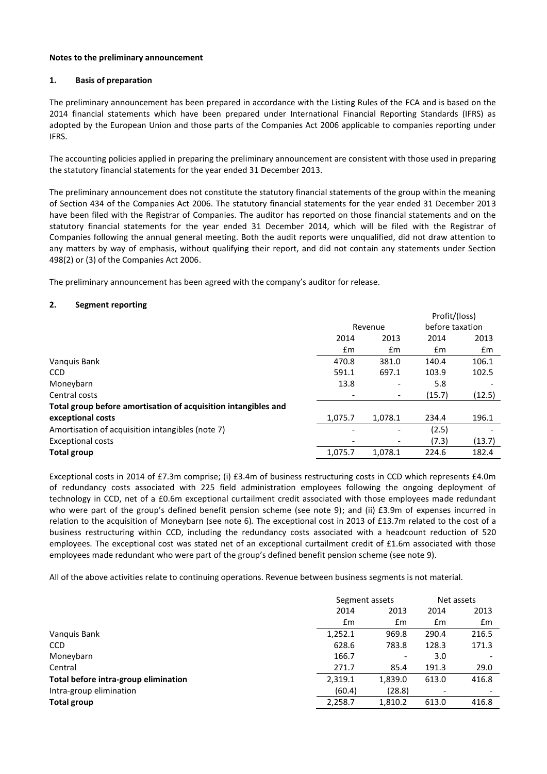#### **Notes to the preliminary announcement**

#### **1. Basis of preparation**

The preliminary announcement has been prepared in accordance with the Listing Rules of the FCA and is based on the 2014 financial statements which have been prepared under International Financial Reporting Standards (IFRS) as adopted by the European Union and those parts of the Companies Act 2006 applicable to companies reporting under IFRS.

The accounting policies applied in preparing the preliminary announcement are consistent with those used in preparing the statutory financial statements for the year ended 31 December 2013.

The preliminary announcement does not constitute the statutory financial statements of the group within the meaning of Section 434 of the Companies Act 2006. The statutory financial statements for the year ended 31 December 2013 have been filed with the Registrar of Companies. The auditor has reported on those financial statements and on the statutory financial statements for the year ended 31 December 2014, which will be filed with the Registrar of Companies following the annual general meeting. Both the audit reports were unqualified, did not draw attention to any matters by way of emphasis, without qualifying their report, and did not contain any statements under Section 498(2) or (3) of the Companies Act 2006.

The preliminary announcement has been agreed with the company's auditor for release.

#### **2. Segment reporting**

|                                                                |                          |         | Profit/(loss)   |        |
|----------------------------------------------------------------|--------------------------|---------|-----------------|--------|
|                                                                |                          | Revenue | before taxation |        |
|                                                                | 2014                     | 2013    | 2014            | 2013   |
|                                                                | £m                       | £m      | £m              | £m     |
| Vanquis Bank                                                   | 470.8                    | 381.0   | 140.4           | 106.1  |
| <b>CCD</b>                                                     | 591.1                    | 697.1   | 103.9           | 102.5  |
| Moneybarn                                                      | 13.8                     | ٠       | 5.8             |        |
| Central costs                                                  |                          |         | (15.7)          | (12.5) |
| Total group before amortisation of acquisition intangibles and |                          |         |                 |        |
| exceptional costs                                              | 1,075.7                  | 1,078.1 | 234.4           | 196.1  |
| Amortisation of acquisition intangibles (note 7)               | ٠                        | -       | (2.5)           |        |
| <b>Exceptional costs</b>                                       | $\overline{\phantom{a}}$ | -       | (7.3)           | (13.7) |
| <b>Total group</b>                                             | 1,075.7                  | 1.078.1 | 224.6           | 182.4  |

Exceptional costs in 2014 of £7.3m comprise; (i) £3.4m of business restructuring costs in CCD which represents £4.0m of redundancy costs associated with 225 field administration employees following the ongoing deployment of technology in CCD, net of a £0.6m exceptional curtailment credit associated with those employees made redundant who were part of the group's defined benefit pension scheme (see note 9); and (ii) £3.9m of expenses incurred in relation to the acquisition of Moneybarn (see note 6)*.* The exceptional cost in 2013 of £13.7m related to the cost of a business restructuring within CCD, including the redundancy costs associated with a headcount reduction of 520 employees. The exceptional cost was stated net of an exceptional curtailment credit of £1.6m associated with those employees made redundant who were part of the group's defined benefit pension scheme (see note 9).

All of the above activities relate to continuing operations. Revenue between business segments is not material.

|                                      | Segment assets |         | Net assets    |       |
|--------------------------------------|----------------|---------|---------------|-------|
|                                      | 2014           | 2013    | 2014          | 2013  |
|                                      | $\mathsf{fm}$  | £m      | $\mathsf{fm}$ | £m    |
| Vanguis Bank                         | 1,252.1        | 969.8   | 290.4         | 216.5 |
| <b>CCD</b>                           | 628.6          | 783.8   | 128.3         | 171.3 |
| Moneybarn                            | 166.7          |         | 3.0           |       |
| Central                              | 271.7          | 85.4    | 191.3         | 29.0  |
| Total before intra-group elimination | 2,319.1        | 1,839.0 | 613.0         | 416.8 |
| Intra-group elimination              | (60.4)         | (28.8)  |               |       |
| <b>Total group</b>                   | 2,258.7        | 1,810.2 | 613.0         | 416.8 |
|                                      |                |         |               |       |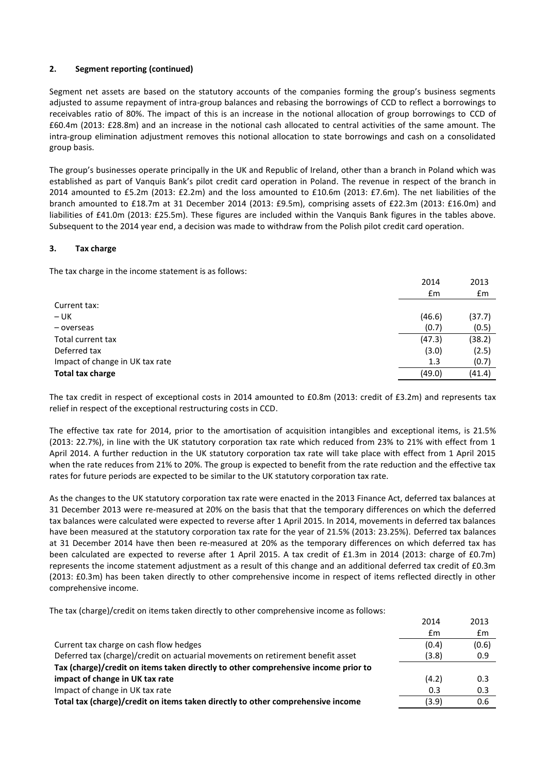## **2. Segment reporting (continued)**

Segment net assets are based on the statutory accounts of the companies forming the group's business segments adjusted to assume repayment of intra-group balances and rebasing the borrowings of CCD to reflect a borrowings to receivables ratio of 80%. The impact of this is an increase in the notional allocation of group borrowings to CCD of £60.4m (2013: £28.8m) and an increase in the notional cash allocated to central activities of the same amount. The intra-group elimination adjustment removes this notional allocation to state borrowings and cash on a consolidated group basis.

The group's businesses operate principally in the UK and Republic of Ireland, other than a branch in Poland which was established as part of Vanquis Bank's pilot credit card operation in Poland. The revenue in respect of the branch in 2014 amounted to £5.2m (2013: £2.2m) and the loss amounted to £10.6m (2013: £7.6m). The net liabilities of the branch amounted to £18.7m at 31 December 2014 (2013: £9.5m), comprising assets of £22.3m (2013: £16.0m) and liabilities of £41.0m (2013: £25.5m). These figures are included within the Vanquis Bank figures in the tables above. Subsequent to the 2014 year end, a decision was made to withdraw from the Polish pilot credit card operation.

## **3. Tax charge**

The tax charge in the income statement is as follows:

|                                 | 2014          | 2013   |
|---------------------------------|---------------|--------|
|                                 | $\mathsf{fm}$ | £m     |
| Current tax:                    |               |        |
| $- UK$                          | (46.6)        | (37.7) |
| - overseas                      | (0.7)         | (0.5)  |
| Total current tax               | (47.3)        | (38.2) |
| Deferred tax                    | (3.0)         | (2.5)  |
| Impact of change in UK tax rate | 1.3           | (0.7)  |
| <b>Total tax charge</b>         | (49.0)        | (41.4) |

The tax credit in respect of exceptional costs in 2014 amounted to £0.8m (2013: credit of £3.2m) and represents tax relief in respect of the exceptional restructuring costs in CCD.

The effective tax rate for 2014, prior to the amortisation of acquisition intangibles and exceptional items, is 21.5% (2013: 22.7%), in line with the UK statutory corporation tax rate which reduced from 23% to 21% with effect from 1 April 2014. A further reduction in the UK statutory corporation tax rate will take place with effect from 1 April 2015 when the rate reduces from 21% to 20%. The group is expected to benefit from the rate reduction and the effective tax rates for future periods are expected to be similar to the UK statutory corporation tax rate.

As the changes to the UK statutory corporation tax rate were enacted in the 2013 Finance Act, deferred tax balances at 31 December 2013 were re-measured at 20% on the basis that that the temporary differences on which the deferred tax balances were calculated were expected to reverse after 1 April 2015. In 2014, movements in deferred tax balances have been measured at the statutory corporation tax rate for the year of 21.5% (2013: 23.25%). Deferred tax balances at 31 December 2014 have then been re-measured at 20% as the temporary differences on which deferred tax has been calculated are expected to reverse after 1 April 2015. A tax credit of £1.3m in 2014 (2013: charge of £0.7m) represents the income statement adjustment as a result of this change and an additional deferred tax credit of £0.3m (2013: £0.3m) has been taken directly to other comprehensive income in respect of items reflected directly in other comprehensive income.

The tax (charge)/credit on items taken directly to other comprehensive income as follows:

|                                                                                    | 2014  | 2013  |
|------------------------------------------------------------------------------------|-------|-------|
|                                                                                    | £m    | £m    |
| Current tax charge on cash flow hedges                                             | (0.4) | (0.6) |
| Deferred tax (charge)/credit on actuarial movements on retirement benefit asset    | (3.8) | 0.9   |
| Tax (charge)/credit on items taken directly to other comprehensive income prior to |       |       |
| impact of change in UK tax rate                                                    | (4.2) | 0.3   |
| Impact of change in UK tax rate                                                    | 0.3   | 0.3   |
| Total tax (charge)/credit on items taken directly to other comprehensive income    | (3.9) | 0.6   |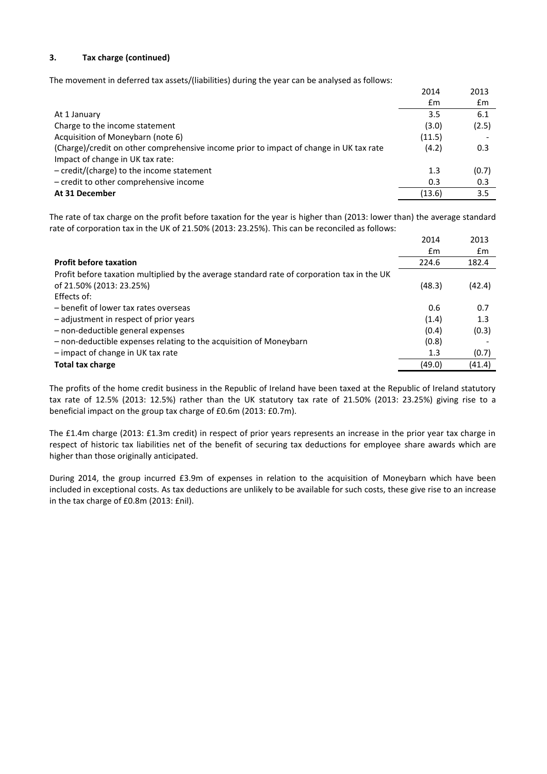## **3. Tax charge (continued)**

The movement in deferred tax assets/(liabilities) during the year can be analysed as follows:

|                                                                                        | 2014   | 2013  |
|----------------------------------------------------------------------------------------|--------|-------|
|                                                                                        | £m     | £m    |
| At 1 January                                                                           | 3.5    | 6.1   |
| Charge to the income statement                                                         | (3.0)  | (2.5) |
| Acquisition of Moneybarn (note 6)                                                      | (11.5) |       |
| (Charge)/credit on other comprehensive income prior to impact of change in UK tax rate | (4.2)  | 0.3   |
| Impact of change in UK tax rate:                                                       |        |       |
| $-$ credit/(charge) to the income statement                                            | 1.3    | (0.7) |
| - credit to other comprehensive income                                                 | 0.3    | 0.3   |
| At 31 December                                                                         | (13.6) | 3.5   |

The rate of tax charge on the profit before taxation for the year is higher than (2013: lower than) the average standard rate of corporation tax in the UK of 21.50% (2013: 23.25%). This can be reconciled as follows:

|                                                                                             | 2014   | 2013   |
|---------------------------------------------------------------------------------------------|--------|--------|
|                                                                                             | £m     | £m     |
| <b>Profit before taxation</b>                                                               | 224.6  | 182.4  |
| Profit before taxation multiplied by the average standard rate of corporation tax in the UK |        |        |
| of 21.50% (2013: 23.25%)                                                                    | (48.3) | (42.4) |
| Effects of:                                                                                 |        |        |
| - benefit of lower tax rates overseas                                                       | 0.6    | 0.7    |
| - adjustment in respect of prior years                                                      | (1.4)  | 1.3    |
| - non-deductible general expenses                                                           | (0.4)  | (0.3)  |
| - non-deductible expenses relating to the acquisition of Moneybarn                          | (0.8)  |        |
| - impact of change in UK tax rate                                                           | 1.3    | (0.7)  |
| <b>Total tax charge</b>                                                                     | (49.0) | (41.4) |

The profits of the home credit business in the Republic of Ireland have been taxed at the Republic of Ireland statutory tax rate of 12.5% (2013: 12.5%) rather than the UK statutory tax rate of 21.50% (2013: 23.25%) giving rise to a beneficial impact on the group tax charge of £0.6m (2013: £0.7m).

The £1.4m charge (2013: £1.3m credit) in respect of prior years represents an increase in the prior year tax charge in respect of historic tax liabilities net of the benefit of securing tax deductions for employee share awards which are higher than those originally anticipated.

During 2014, the group incurred £3.9m of expenses in relation to the acquisition of Moneybarn which have been included in exceptional costs. As tax deductions are unlikely to be available for such costs, these give rise to an increase in the tax charge of £0.8m (2013: £nil).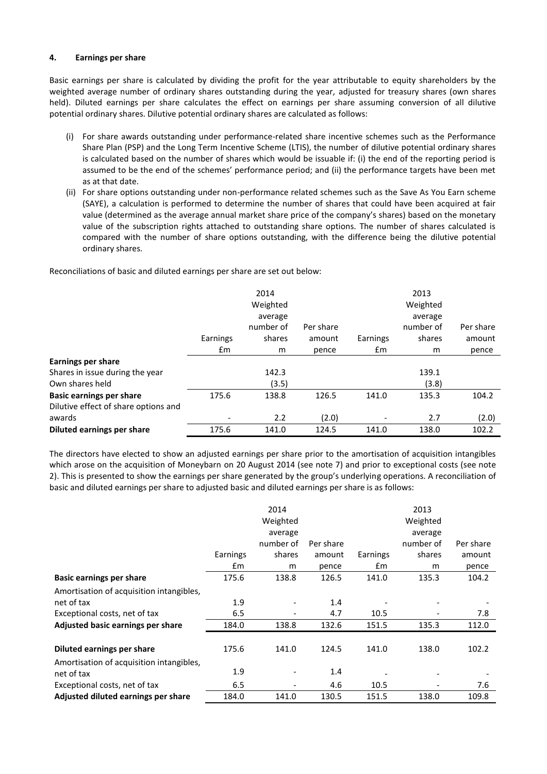## **4. Earnings per share**

Basic earnings per share is calculated by dividing the profit for the year attributable to equity shareholders by the weighted average number of ordinary shares outstanding during the year, adjusted for treasury shares (own shares held). Diluted earnings per share calculates the effect on earnings per share assuming conversion of all dilutive potential ordinary shares. Dilutive potential ordinary shares are calculated as follows:

- (i) For share awards outstanding under performance-related share incentive schemes such as the Performance Share Plan (PSP) and the Long Term Incentive Scheme (LTIS), the number of dilutive potential ordinary shares is calculated based on the number of shares which would be issuable if: (i) the end of the reporting period is assumed to be the end of the schemes' performance period; and (ii) the performance targets have been met as at that date.
- (ii) For share options outstanding under non-performance related schemes such as the Save As You Earn scheme (SAYE), a calculation is performed to determine the number of shares that could have been acquired at fair value (determined as the average annual market share price of the company's shares) based on the monetary value of the subscription rights attached to outstanding share options. The number of shares calculated is compared with the number of share options outstanding, with the difference being the dilutive potential ordinary shares.

Reconciliations of basic and diluted earnings per share are set out below:

|                                      |               | 2014<br>Weighted     |           |               | 2013<br>Weighted     |           |
|--------------------------------------|---------------|----------------------|-----------|---------------|----------------------|-----------|
|                                      |               | average<br>number of | Per share |               | average<br>number of | Per share |
|                                      | Earnings      | shares               | amount    | Earnings      | shares               | amount    |
|                                      | $\mathsf{fm}$ | m                    | pence     | $\mathsf{fm}$ | m                    | pence     |
| <b>Earnings per share</b>            |               |                      |           |               |                      |           |
| Shares in issue during the year      |               | 142.3                |           |               | 139.1                |           |
| Own shares held                      |               | (3.5)                |           |               | (3.8)                |           |
| <b>Basic earnings per share</b>      | 175.6         | 138.8                | 126.5     | 141.0         | 135.3                | 104.2     |
| Dilutive effect of share options and |               |                      |           |               |                      |           |
| awards                               |               | 2.2                  | (2.0)     |               | 2.7                  | (2.0)     |
| <b>Diluted earnings per share</b>    | 175.6         | 141.0                | 124.5     | 141.0         | 138.0                | 102.2     |

The directors have elected to show an adjusted earnings per share prior to the amortisation of acquisition intangibles which arose on the acquisition of Moneybarn on 20 August 2014 (see note 7) and prior to exceptional costs (see note 2). This is presented to show the earnings per share generated by the group's underlying operations. A reconciliation of basic and diluted earnings per share to adjusted basic and diluted earnings per share is as follows:

|                                                        |               | 2014<br>Weighted<br>average |           |               | 2013<br>Weighted<br>average |           |
|--------------------------------------------------------|---------------|-----------------------------|-----------|---------------|-----------------------------|-----------|
|                                                        |               | number of                   | Per share |               | number of                   | Per share |
|                                                        | Earnings      | shares                      | amount    | Earnings      | shares                      | amount    |
|                                                        | $\mathsf{fm}$ | m                           | pence     | $\mathsf{fm}$ | m                           | pence     |
| <b>Basic earnings per share</b>                        | 175.6         | 138.8                       | 126.5     | 141.0         | 135.3                       | 104.2     |
| Amortisation of acquisition intangibles,               |               |                             |           |               |                             |           |
| net of tax                                             | 1.9           |                             | 1.4       |               |                             |           |
| Exceptional costs, net of tax                          | 6.5           |                             | 4.7       | 10.5          |                             | 7.8       |
| Adjusted basic earnings per share                      | 184.0         | 138.8                       | 132.6     | 151.5         | 135.3                       | 112.0     |
| Diluted earnings per share                             | 175.6         | 141.0                       | 124.5     | 141.0         | 138.0                       | 102.2     |
| Amortisation of acquisition intangibles,<br>net of tax | 1.9           |                             | 1.4       |               |                             |           |
| Exceptional costs, net of tax                          | 6.5           |                             | 4.6       | 10.5          |                             | 7.6       |
| Adjusted diluted earnings per share                    | 184.0         | 141.0                       | 130.5     | 151.5         | 138.0                       | 109.8     |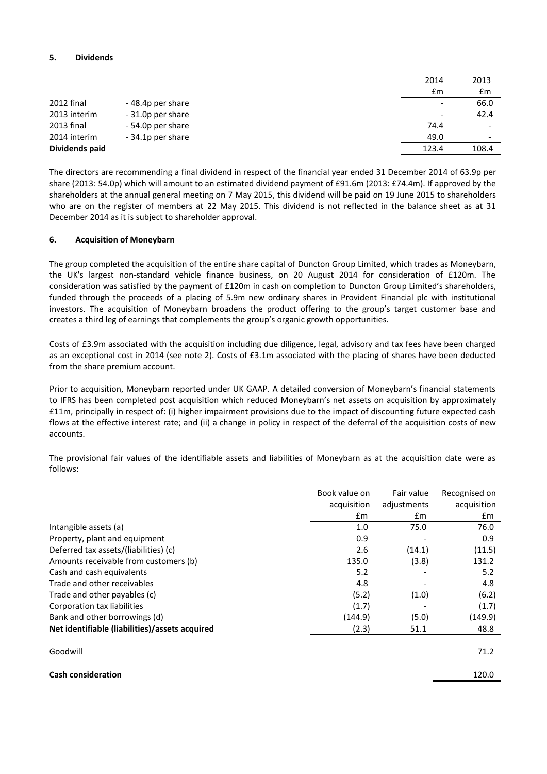## **5. Dividends**

| £m                                                            | £m    |
|---------------------------------------------------------------|-------|
| 2012 final<br>-48.4p per share<br>$\overline{\phantom{0}}$    | 66.0  |
| 2013 interim<br>- 31.0p per share<br>$\overline{\phantom{0}}$ | 42.4  |
| 2013 final<br>- 54.0p per share<br>74.4                       |       |
| 2014 interim<br>-34.1p per share<br>49.0                      | -     |
| Dividends paid<br>123.4                                       | 108.4 |

The directors are recommending a final dividend in respect of the financial year ended 31 December 2014 of 63.9p per share (2013: 54.0p) which will amount to an estimated dividend payment of £91.6m (2013: £74.4m). If approved by the shareholders at the annual general meeting on 7 May 2015, this dividend will be paid on 19 June 2015 to shareholders who are on the register of members at 22 May 2015. This dividend is not reflected in the balance sheet as at 31 December 2014 as it is subject to shareholder approval.

#### **6. Acquisition of Moneybarn**

The group completed the acquisition of the entire share capital of Duncton Group Limited, which trades as Moneybarn, the UK's largest non-standard vehicle finance business, on 20 August 2014 for consideration of £120m. The consideration was satisfied by the payment of £120m in cash on completion to Duncton Group Limited's shareholders, funded through the proceeds of a placing of 5.9m new ordinary shares in Provident Financial plc with institutional investors. The acquisition of Moneybarn broadens the product offering to the group's target customer base and creates a third leg of earnings that complements the group's organic growth opportunities.

Costs of £3.9m associated with the acquisition including due diligence, legal, advisory and tax fees have been charged as an exceptional cost in 2014 (see note 2). Costs of £3.1m associated with the placing of shares have been deducted from the share premium account.

Prior to acquisition, Moneybarn reported under UK GAAP. A detailed conversion of Moneybarn's financial statements to IFRS has been completed post acquisition which reduced Moneybarn's net assets on acquisition by approximately £11m, principally in respect of: (i) higher impairment provisions due to the impact of discounting future expected cash flows at the effective interest rate; and (ii) a change in policy in respect of the deferral of the acquisition costs of new accounts.

The provisional fair values of the identifiable assets and liabilities of Moneybarn as at the acquisition date were as follows:

|                                                | Book value on | Fair value    | Recognised on |
|------------------------------------------------|---------------|---------------|---------------|
|                                                | acquisition   | adjustments   | acquisition   |
|                                                | $\mathsf{fm}$ | $\mathsf{fm}$ | £m            |
| Intangible assets (a)                          | 1.0           | 75.0          | 76.0          |
| Property, plant and equipment                  | 0.9           |               | 0.9           |
| Deferred tax assets/(liabilities) (c)          | 2.6           | (14.1)        | (11.5)        |
| Amounts receivable from customers (b)          | 135.0         | (3.8)         | 131.2         |
| Cash and cash equivalents                      | 5.2           |               | 5.2           |
| Trade and other receivables                    | 4.8           |               | 4.8           |
| Trade and other payables (c)                   | (5.2)         | (1.0)         | (6.2)         |
| Corporation tax liabilities                    | (1.7)         |               | (1.7)         |
| Bank and other borrowings (d)                  | (144.9)       | (5.0)         | (149.9)       |
| Net identifiable (liabilities)/assets acquired | (2.3)         | 51.1          | 48.8          |
| Goodwill                                       |               |               | 71.2          |
| <b>Cash consideration</b>                      |               |               | 120.0         |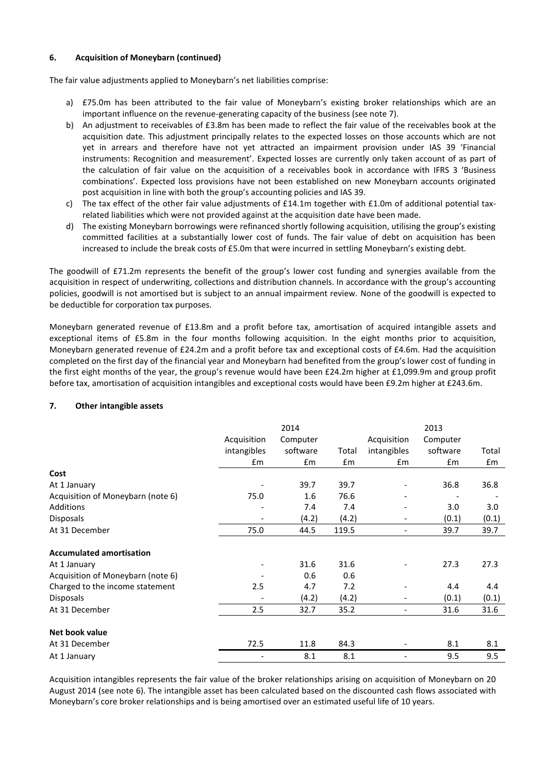## **6. Acquisition of Moneybarn (continued)**

The fair value adjustments applied to Moneybarn's net liabilities comprise:

- a) £75.0m has been attributed to the fair value of Moneybarn's existing broker relationships which are an important influence on the revenue-generating capacity of the business (see note 7).
- b) An adjustment to receivables of £3.8m has been made to reflect the fair value of the receivables book at the acquisition date. This adjustment principally relates to the expected losses on those accounts which are not yet in arrears and therefore have not yet attracted an impairment provision under IAS 39 'Financial instruments: Recognition and measurement'. Expected losses are currently only taken account of as part of the calculation of fair value on the acquisition of a receivables book in accordance with IFRS 3 'Business combinations'. Expected loss provisions have not been established on new Moneybarn accounts originated post acquisition in line with both the group's accounting policies and IAS 39.
- c) The tax effect of the other fair value adjustments of £14.1m together with £1.0m of additional potential taxrelated liabilities which were not provided against at the acquisition date have been made.
- d) The existing Moneybarn borrowings were refinanced shortly following acquisition, utilising the group's existing committed facilities at a substantially lower cost of funds. The fair value of debt on acquisition has been increased to include the break costs of £5.0m that were incurred in settling Moneybarn's existing debt.

The goodwill of £71.2m represents the benefit of the group's lower cost funding and synergies available from the acquisition in respect of underwriting, collections and distribution channels. In accordance with the group's accounting policies, goodwill is not amortised but is subject to an annual impairment review. None of the goodwill is expected to be deductible for corporation tax purposes.

Moneybarn generated revenue of £13.8m and a profit before tax, amortisation of acquired intangible assets and exceptional items of £5.8m in the four months following acquisition. In the eight months prior to acquisition, Moneybarn generated revenue of £24.2m and a profit before tax and exceptional costs of £4.6m. Had the acquisition completed on the first day of the financial year and Moneybarn had benefited from the group's lower cost of funding in the first eight months of the year, the group's revenue would have been £24.2m higher at £1,099.9m and group profit before tax, amortisation of acquisition intangibles and exceptional costs would have been £9.2m higher at £243.6m.

|                                   | 2014                         |          |       | 2013                     |          |       |
|-----------------------------------|------------------------------|----------|-------|--------------------------|----------|-------|
|                                   | Acquisition                  | Computer |       | Acquisition              | Computer |       |
|                                   | intangibles                  | software | Total | intangibles              | software | Total |
|                                   | £m                           | £m       | £m    | £m                       | £m       | £m    |
| Cost                              |                              |          |       |                          |          |       |
| At 1 January                      |                              | 39.7     | 39.7  | $\overline{\phantom{a}}$ | 36.8     | 36.8  |
| Acquisition of Moneybarn (note 6) | 75.0                         | 1.6      | 76.6  | -                        |          |       |
| Additions                         |                              | 7.4      | 7.4   | $\overline{\phantom{a}}$ | 3.0      | 3.0   |
| <b>Disposals</b>                  |                              | (4.2)    | (4.2) | -                        | (0.1)    | (0.1) |
| At 31 December                    | 75.0                         | 44.5     | 119.5 | $\overline{\phantom{a}}$ | 39.7     | 39.7  |
| <b>Accumulated amortisation</b>   |                              |          |       |                          |          |       |
| At 1 January                      |                              | 31.6     | 31.6  |                          | 27.3     | 27.3  |
| Acquisition of Moneybarn (note 6) |                              | 0.6      | 0.6   |                          |          |       |
| Charged to the income statement   | 2.5                          | 4.7      | 7.2   |                          | 4.4      | 4.4   |
| <b>Disposals</b>                  |                              | (4.2)    | (4.2) | $\overline{\phantom{a}}$ | (0.1)    | (0.1) |
| At 31 December                    | 2.5                          | 32.7     | 35.2  | $\overline{\phantom{a}}$ | 31.6     | 31.6  |
| Net book value                    |                              |          |       |                          |          |       |
| At 31 December                    | 72.5                         | 11.8     | 84.3  |                          | 8.1      | 8.1   |
| At 1 January                      | $\qquad \qquad \blacksquare$ | 8.1      | 8.1   | ٠                        | 9.5      | 9.5   |

## **7. Other intangible assets**

Acquisition intangibles represents the fair value of the broker relationships arising on acquisition of Moneybarn on 20 August 2014 (see note 6). The intangible asset has been calculated based on the discounted cash flows associated with Moneybarn's core broker relationships and is being amortised over an estimated useful life of 10 years.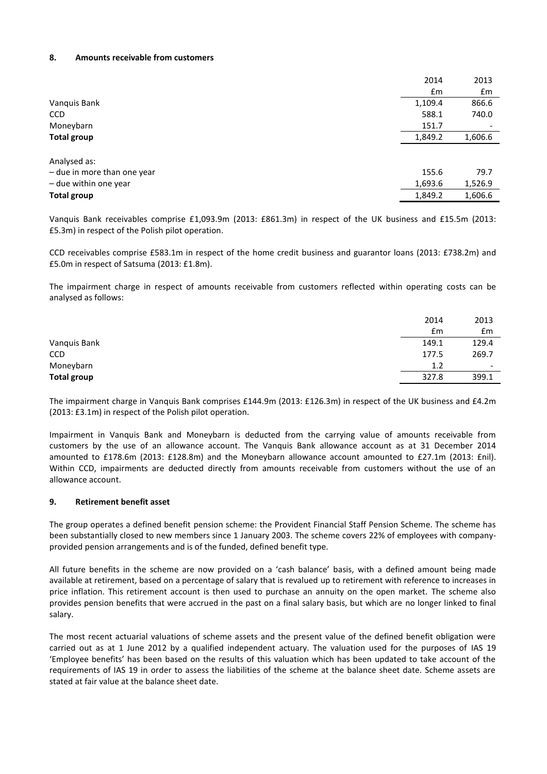#### **8. Amounts receivable from customers**

|                             | 2014    | 2013    |
|-----------------------------|---------|---------|
|                             | £m      | £m      |
| Vanquis Bank                | 1,109.4 | 866.6   |
| <b>CCD</b>                  | 588.1   | 740.0   |
| Moneybarn                   | 151.7   | -       |
| <b>Total group</b>          | 1,849.2 | 1,606.6 |
|                             |         |         |
| Analysed as:                |         |         |
| - due in more than one year | 155.6   | 79.7    |
| - due within one year       | 1,693.6 | 1,526.9 |
| <b>Total group</b>          | 1,849.2 | 1,606.6 |

Vanquis Bank receivables comprise £1,093.9m (2013: £861.3m) in respect of the UK business and £15.5m (2013: £5.3m) in respect of the Polish pilot operation.

CCD receivables comprise £583.1m in respect of the home credit business and guarantor loans (2013: £738.2m) and £5.0m in respect of Satsuma (2013: £1.8m).

The impairment charge in respect of amounts receivable from customers reflected within operating costs can be analysed as follows:

|                    | 2014  | 2013                     |
|--------------------|-------|--------------------------|
|                    | £m    | £m                       |
| Vanquis Bank       | 149.1 | 129.4                    |
| CCD                | 177.5 | 269.7                    |
| Moneybarn          | 1.2   | $\overline{\phantom{0}}$ |
| <b>Total group</b> | 327.8 | 399.1                    |

The impairment charge in Vanquis Bank comprises £144.9m (2013: £126.3m) in respect of the UK business and £4.2m (2013: £3.1m) in respect of the Polish pilot operation.

Impairment in Vanquis Bank and Moneybarn is deducted from the carrying value of amounts receivable from customers by the use of an allowance account. The Vanquis Bank allowance account as at 31 December 2014 amounted to £178.6m (2013: £128.8m) and the Moneybarn allowance account amounted to £27.1m (2013: £nil). Within CCD, impairments are deducted directly from amounts receivable from customers without the use of an allowance account.

#### **9. Retirement benefit asset**

The group operates a defined benefit pension scheme: the Provident Financial Staff Pension Scheme. The scheme has been substantially closed to new members since 1 January 2003. The scheme covers 22% of employees with companyprovided pension arrangements and is of the funded, defined benefit type.

All future benefits in the scheme are now provided on a 'cash balance' basis, with a defined amount being made available at retirement, based on a percentage of salary that is revalued up to retirement with reference to increases in price inflation. This retirement account is then used to purchase an annuity on the open market. The scheme also provides pension benefits that were accrued in the past on a final salary basis, but which are no longer linked to final salary.

The most recent actuarial valuations of scheme assets and the present value of the defined benefit obligation were carried out as at 1 June 2012 by a qualified independent actuary. The valuation used for the purposes of IAS 19 'Employee benefits' has been based on the results of this valuation which has been updated to take account of the requirements of IAS 19 in order to assess the liabilities of the scheme at the balance sheet date. Scheme assets are stated at fair value at the balance sheet date.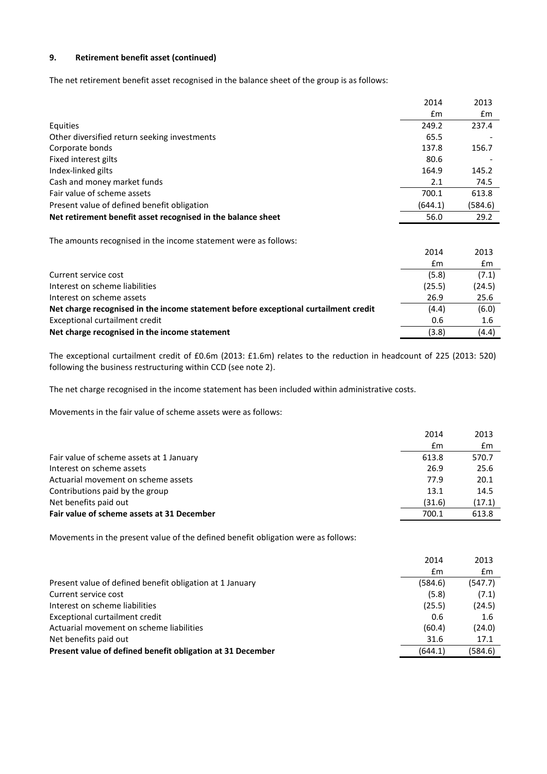## **9. Retirement benefit asset (continued)**

The net retirement benefit asset recognised in the balance sheet of the group is as follows:

|                                                                                     | 2014    | 2013    |
|-------------------------------------------------------------------------------------|---------|---------|
|                                                                                     | £m      | £m      |
| Equities                                                                            | 249.2   | 237.4   |
| Other diversified return seeking investments                                        | 65.5    |         |
| Corporate bonds                                                                     | 137.8   | 156.7   |
| Fixed interest gilts                                                                | 80.6    |         |
| Index-linked gilts                                                                  | 164.9   | 145.2   |
| Cash and money market funds                                                         | 2.1     | 74.5    |
| Fair value of scheme assets                                                         | 700.1   | 613.8   |
| Present value of defined benefit obligation                                         | (644.1) | (584.6) |
| Net retirement benefit asset recognised in the balance sheet                        | 56.0    | 29.2    |
| The amounts recognised in the income statement were as follows:                     |         |         |
|                                                                                     | 2014    | 2013    |
|                                                                                     | £m      | £m      |
| Current service cost                                                                | (5.8)   | (7.1)   |
| Interest on scheme liabilities                                                      | (25.5)  | (24.5)  |
| Interest on scheme assets                                                           | 26.9    | 25.6    |
| Net charge recognised in the income statement before exceptional curtailment credit | (4.4)   | (6.0)   |
| Exceptional curtailment credit                                                      | 0.6     | 1.6     |

The exceptional curtailment credit of £0.6m (2013: £1.6m) relates to the reduction in headcount of 225 (2013: 520) following the business restructuring within CCD (see note 2).

**Net charge recognised in the income statement** (3.8) (4.4)

The net charge recognised in the income statement has been included within administrative costs.

Movements in the fair value of scheme assets were as follows:

|                                            | 2014   | 2013           |
|--------------------------------------------|--------|----------------|
|                                            | £m     | $\mathbf{f}$ m |
| Fair value of scheme assets at 1 January   | 613.8  | 570.7          |
| Interest on scheme assets                  | 26.9   | 25.6           |
| Actuarial movement on scheme assets        | 77.9   | 20.1           |
| Contributions paid by the group            | 13.1   | 14.5           |
| Net benefits paid out                      | (31.6) | (17.1)         |
| Fair value of scheme assets at 31 December | 700.1  | 613.8          |

Movements in the present value of the defined benefit obligation were as follows:

|                                                            | 2014    | 2013    |
|------------------------------------------------------------|---------|---------|
|                                                            | £m      | £m      |
| Present value of defined benefit obligation at 1 January   | (584.6) | (547.7) |
| Current service cost                                       | (5.8)   | (7.1)   |
| Interest on scheme liabilities                             | (25.5)  | (24.5)  |
| Exceptional curtailment credit                             | 0.6     | 1.6     |
| Actuarial movement on scheme liabilities                   | (60.4)  | (24.0)  |
| Net benefits paid out                                      | 31.6    | 17.1    |
| Present value of defined benefit obligation at 31 December | (644.1) | (584.6) |
|                                                            |         |         |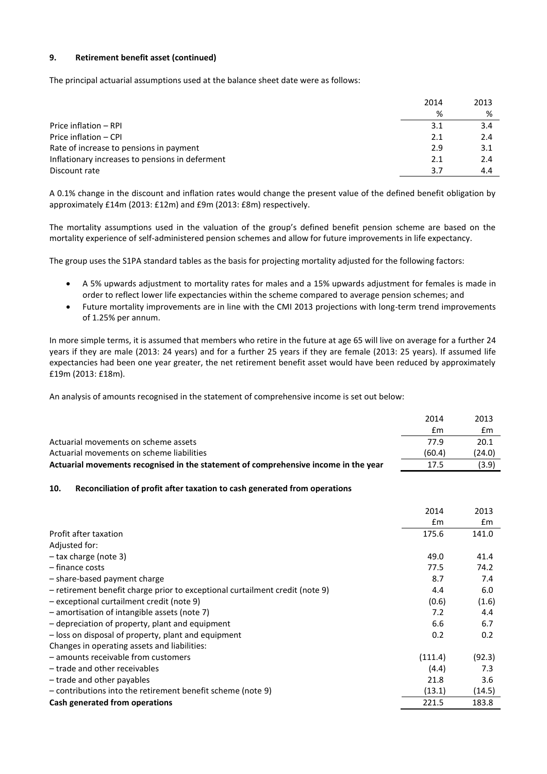## **9. Retirement benefit asset (continued)**

The principal actuarial assumptions used at the balance sheet date were as follows:

|                                                 | 2014 | 2013 |
|-------------------------------------------------|------|------|
|                                                 | %    | %    |
| Price inflation - RPI                           | 3.1  | 3.4  |
| Price inflation - CPI                           | 2.1  | 2.4  |
| Rate of increase to pensions in payment         | 2.9  | 3.1  |
| Inflationary increases to pensions in deferment | 2.1  | 2.4  |
| Discount rate                                   | 3.7  | 4.4  |
|                                                 |      |      |

A 0.1% change in the discount and inflation rates would change the present value of the defined benefit obligation by approximately £14m (2013: £12m) and £9m (2013: £8m) respectively.

The mortality assumptions used in the valuation of the group's defined benefit pension scheme are based on the mortality experience of self-administered pension schemes and allow for future improvements in life expectancy.

The group uses the S1PA standard tables as the basis for projecting mortality adjusted for the following factors:

- A 5% upwards adjustment to mortality rates for males and a 15% upwards adjustment for females is made in order to reflect lower life expectancies within the scheme compared to average pension schemes; and
- Future mortality improvements are in line with the CMI 2013 projections with long-term trend improvements of 1.25% per annum.

In more simple terms, it is assumed that members who retire in the future at age 65 will live on average for a further 24 years if they are male (2013: 24 years) and for a further 25 years if they are female (2013: 25 years). If assumed life expectancies had been one year greater, the net retirement benefit asset would have been reduced by approximately £19m (2013: £18m).

An analysis of amounts recognised in the statement of comprehensive income is set out below:

|                                                                                     | 2014   | 2013   |
|-------------------------------------------------------------------------------------|--------|--------|
|                                                                                     | £m     | £m     |
| Actuarial movements on scheme assets                                                | 77 9   | 20.1   |
| Actuarial movements on scheme liabilities                                           | (60.4) | (24.0) |
| Actuarial movements recognised in the statement of comprehensive income in the year | 17.5   | (3.9)  |

## **10. Reconciliation of profit after taxation to cash generated from operations**

|                                                                              | 2014    | 2013   |
|------------------------------------------------------------------------------|---------|--------|
|                                                                              | Em      | £m     |
| Profit after taxation                                                        | 175.6   | 141.0  |
| Adjusted for:                                                                |         |        |
| $-$ tax charge (note 3)                                                      | 49.0    | 41.4   |
| - finance costs                                                              | 77.5    | 74.2   |
| - share-based payment charge                                                 | 8.7     | 7.4    |
| - retirement benefit charge prior to exceptional curtailment credit (note 9) | 4.4     | 6.0    |
| - exceptional curtailment credit (note 9)                                    | (0.6)   | (1.6)  |
| $-$ amortisation of intangible assets (note 7)                               | 7.2     | 4.4    |
| - depreciation of property, plant and equipment                              | 6.6     | 6.7    |
| - loss on disposal of property, plant and equipment                          | 0.2     | 0.2    |
| Changes in operating assets and liabilities:                                 |         |        |
| - amounts receivable from customers                                          | (111.4) | (92.3) |
| - trade and other receivables                                                | (4.4)   | 7.3    |
| - trade and other payables                                                   | 21.8    | 3.6    |
| $-$ contributions into the retirement benefit scheme (note 9)                | (13.1)  | (14.5) |
| Cash generated from operations                                               | 221.5   | 183.8  |